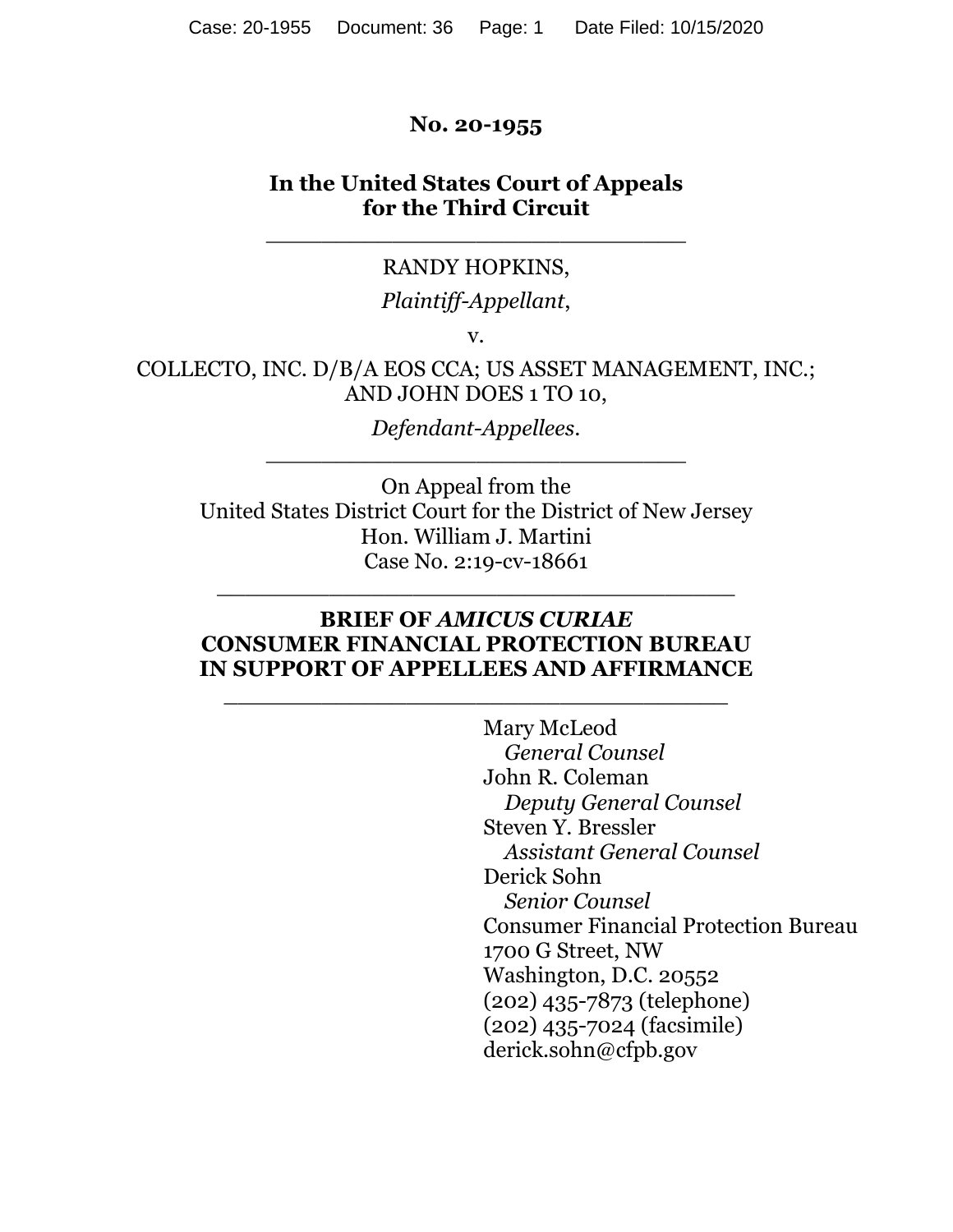### **No. 20-1955**

### **In the United States Court of Appeals for the Third Circuit**

#### RANDY HOPKINS,

\_\_\_\_\_\_\_\_\_\_\_\_\_\_\_\_\_\_\_\_\_\_\_\_\_\_\_\_\_\_

### *Plaintiff-Appellant*,

v.

COLLECTO, INC. D/B/A EOS CCA; US ASSET MANAGEMENT, INC.; AND JOHN DOES 1 TO 10,

> *Defendant-Appellees*. \_\_\_\_\_\_\_\_\_\_\_\_\_\_\_\_\_\_\_\_\_\_\_\_\_\_\_\_\_\_

On Appeal from the United States District Court for the District of New Jersey Hon. William J. Martini Case No. 2:19-cv-18661

### **BRIEF OF** *AMICUS CURIAE* **CONSUMER FINANCIAL PROTECTION BUREAU IN SUPPORT OF APPELLEES AND AFFIRMANCE**

\_\_\_\_\_\_\_\_\_\_\_\_\_\_\_\_\_\_\_\_\_\_\_\_\_\_\_\_\_\_\_\_\_\_\_\_

\_\_\_\_\_\_\_\_\_\_\_\_\_\_\_\_\_\_\_\_\_\_\_\_\_\_\_\_\_\_\_\_\_\_\_\_\_

 Mary McLeod *General Counsel*  John R. Coleman  *Deputy General Counsel*  Steven Y. Bressler *Assistant General Counsel*  Derick Sohn *Senior Counsel*  Consumer Financial Protection Bureau 1700 G Street, NW Washington, D.C. 20552 (202) 435-7873 (telephone) (202) 435-7024 (facsimile) derick.sohn@cfpb.gov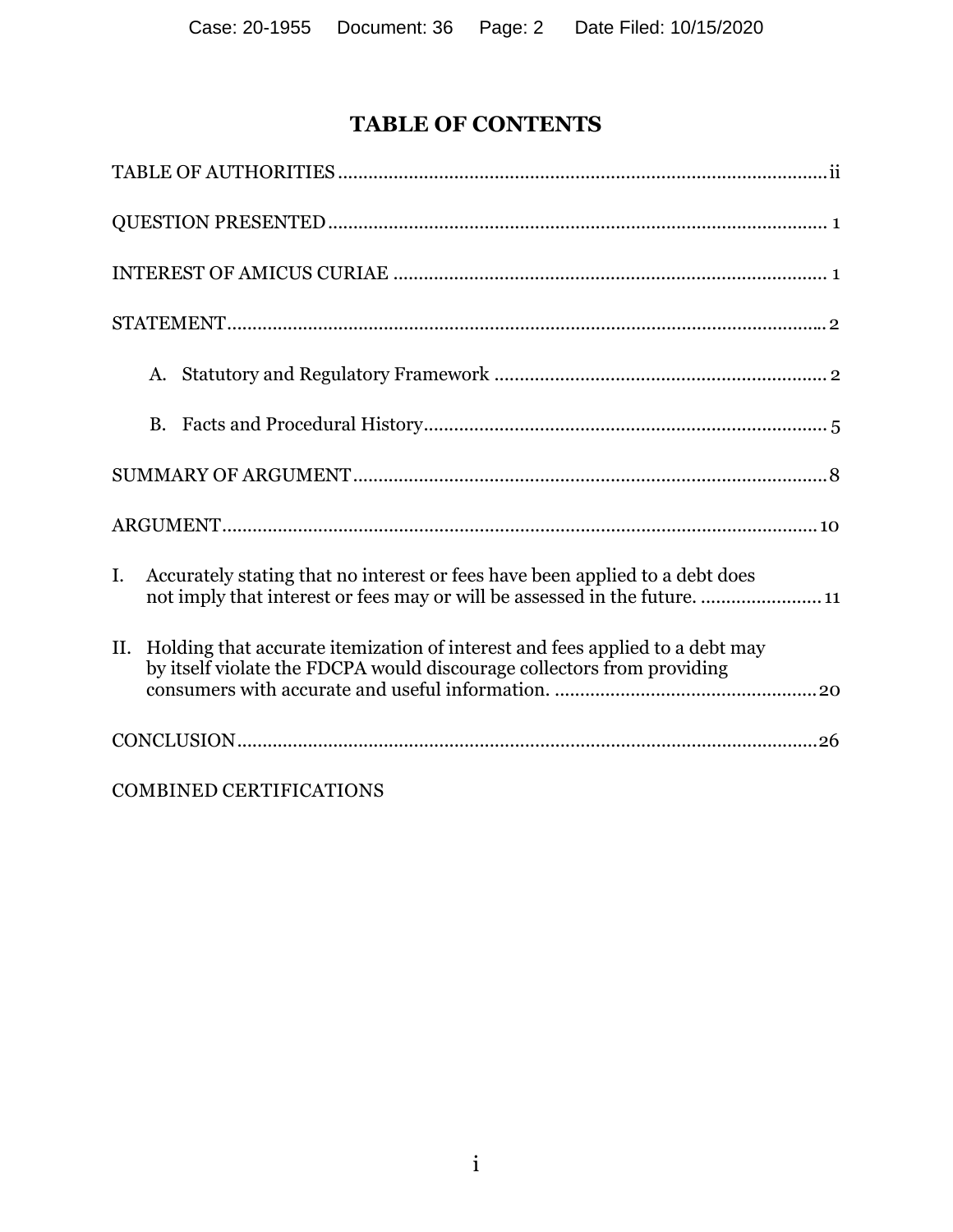# **TABLE OF CONTENTS**

| Accurately stating that no interest or fees have been applied to a debt does<br>I.<br>not imply that interest or fees may or will be assessed in the future.  11 |  |
|------------------------------------------------------------------------------------------------------------------------------------------------------------------|--|
| Holding that accurate itemization of interest and fees applied to a debt may<br>II.<br>by itself violate the FDCPA would discourage collectors from providing    |  |
|                                                                                                                                                                  |  |
| <b>COMBINED CERTIFICATIONS</b>                                                                                                                                   |  |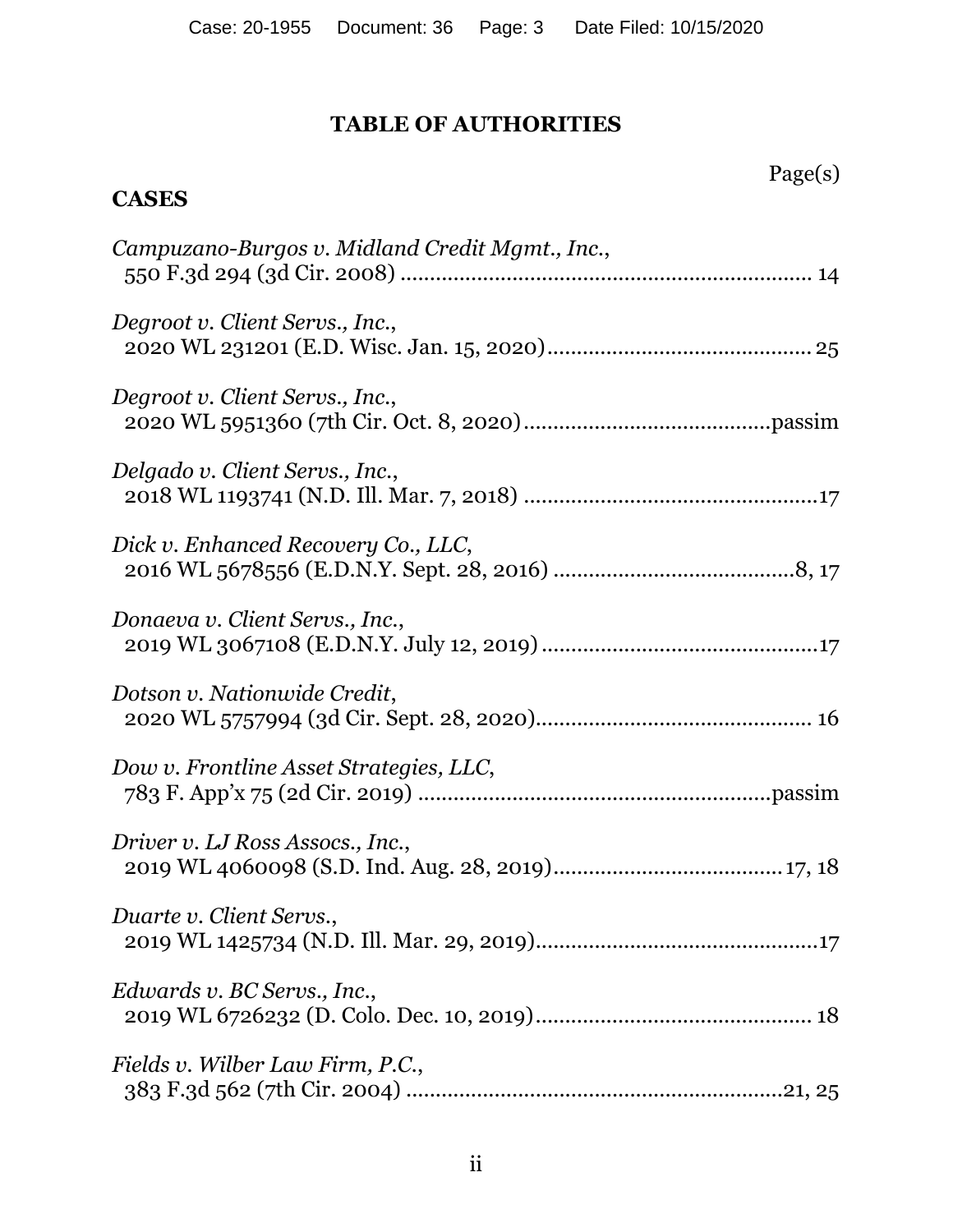# **TABLE OF AUTHORITIES**

# Page(s)

# **CASES**

| Campuzano-Burgos v. Midland Credit Mgmt., Inc., |
|-------------------------------------------------|
| Degroot v. Client Servs., Inc.,                 |
| Degroot v. Client Servs., Inc.,                 |
| Delgado v. Client Servs., Inc.,                 |
| Dick v. Enhanced Recovery Co., LLC,             |
| Donaeva v. Client Servs., Inc.,                 |
| Dotson v. Nationwide Credit,                    |
| Dow v. Frontline Asset Strategies, LLC,         |
| Driver v. LJ Ross Assocs., Inc.,                |
| Duarte v. Client Servs.,                        |
| Edwards v. BC Servs., Inc.,                     |
| Fields v. Wilber Law Firm, P.C.,                |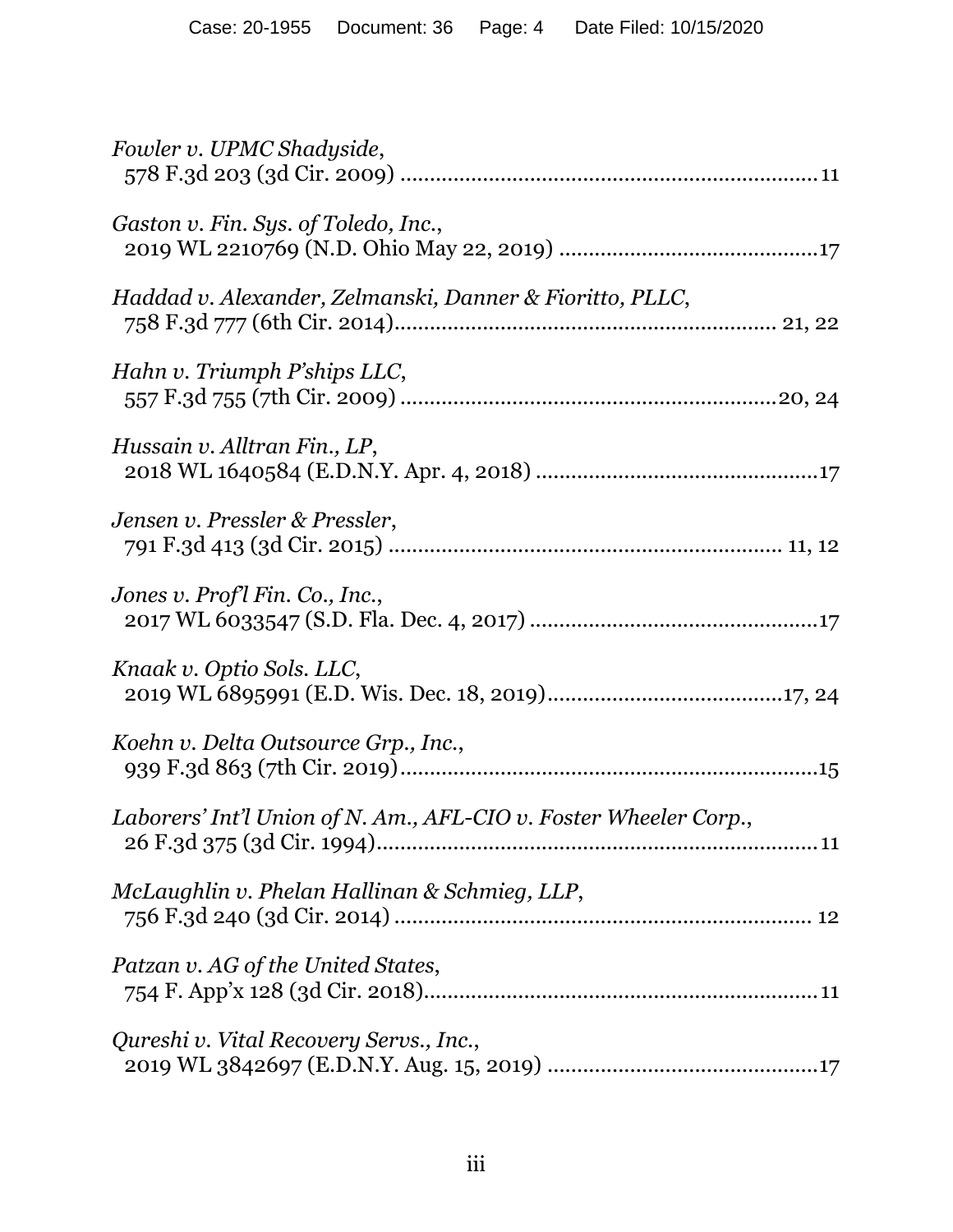| Fowler v. UPMC Shadyside,                                         |
|-------------------------------------------------------------------|
| Gaston v. Fin. Sys. of Toledo, Inc.,                              |
| Haddad v. Alexander, Zelmanski, Danner & Fioritto, PLLC,          |
| Hahn v. Triumph P'ships LLC,                                      |
| Hussain v. Alltran Fin., LP,                                      |
| Jensen v. Pressler & Pressler,                                    |
| Jones v. Profl Fin. Co., Inc.,                                    |
| Knaak v. Optio Sols. LLC,                                         |
| Koehn v. Delta Outsource Grp., Inc.,                              |
| Laborers' Int'l Union of N. Am., AFL-CIO v. Foster Wheeler Corp., |
| McLaughlin v. Phelan Hallinan & Schmieg, LLP,                     |
| Patzan v. AG of the United States,                                |
| Qureshi v. Vital Recovery Servs., Inc.,                           |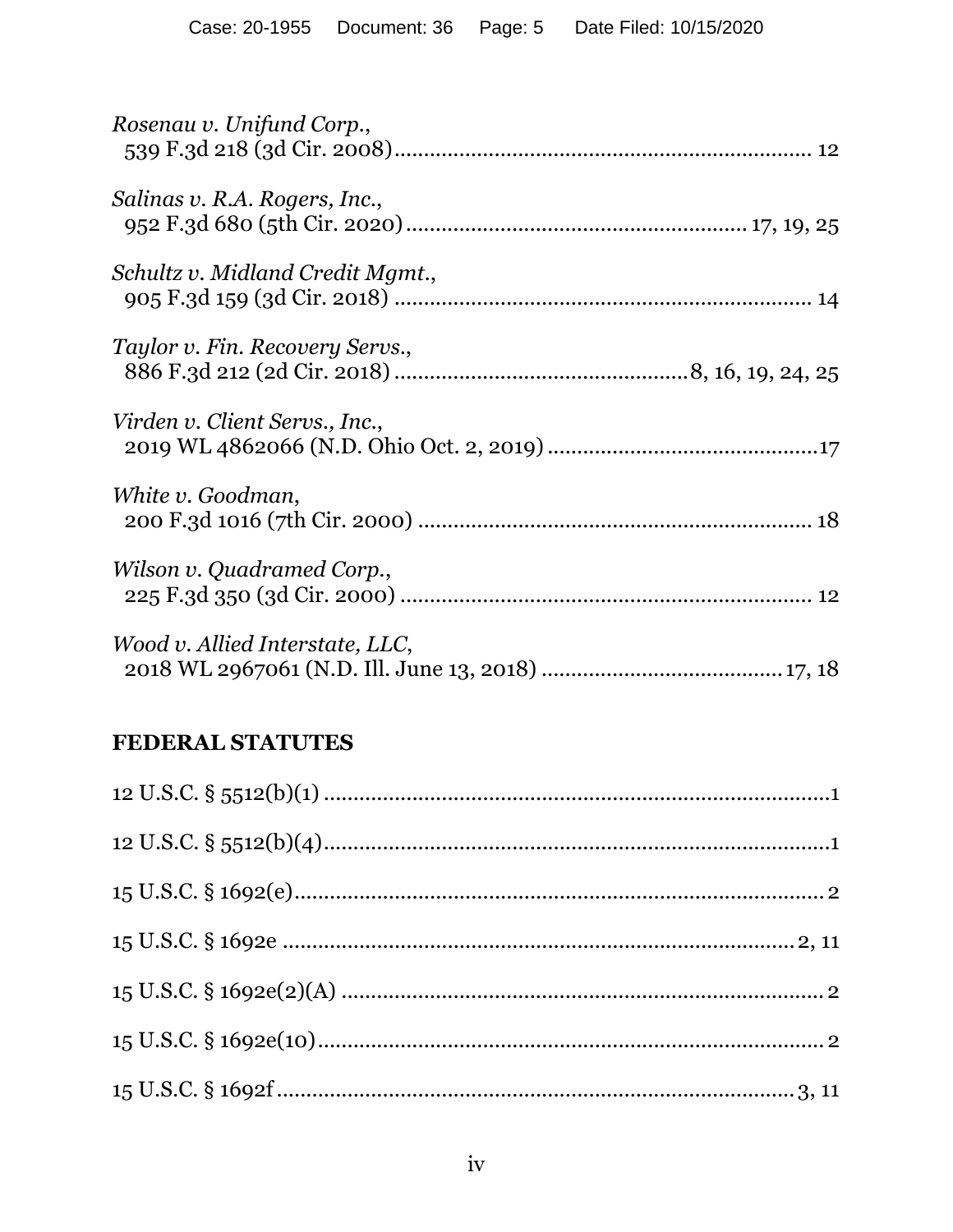| Rosenau v. Unifund Corp.,        |
|----------------------------------|
| Salinas v. R.A. Rogers, Inc.,    |
| Schultz v. Midland Credit Mgmt., |
| Taylor v. Fin. Recovery Servs.,  |
| Virden v. Client Servs., Inc.,   |
| White v. Goodman,                |
| Wilson v. Quadramed Corp.,       |
| Wood v. Allied Interstate, LLC,  |

# FEDERAL STATUTES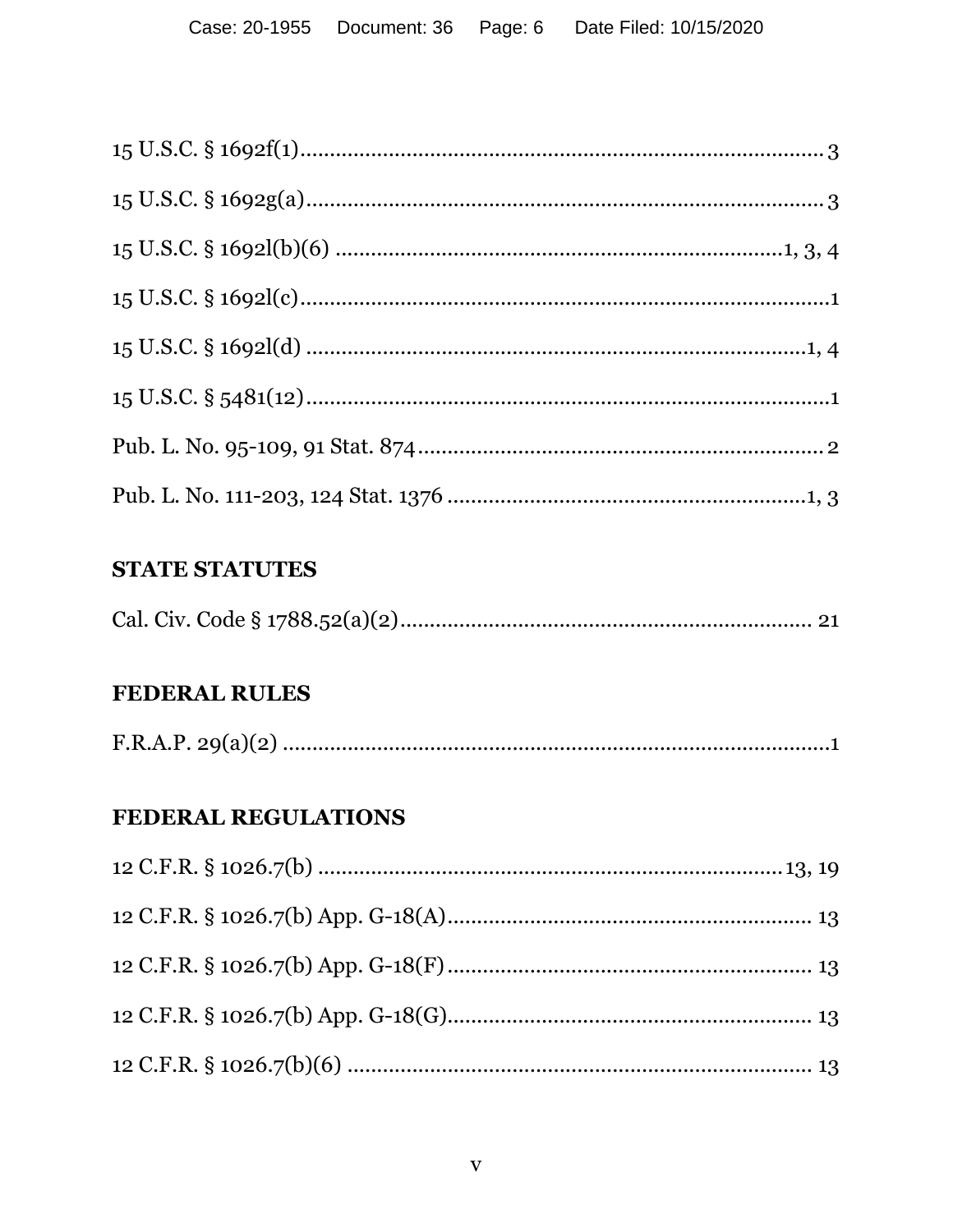## **STATE STATUTES**

|--|--|

## **FEDERAL RULES**

|--|--|

## FEDERAL REGULATIONS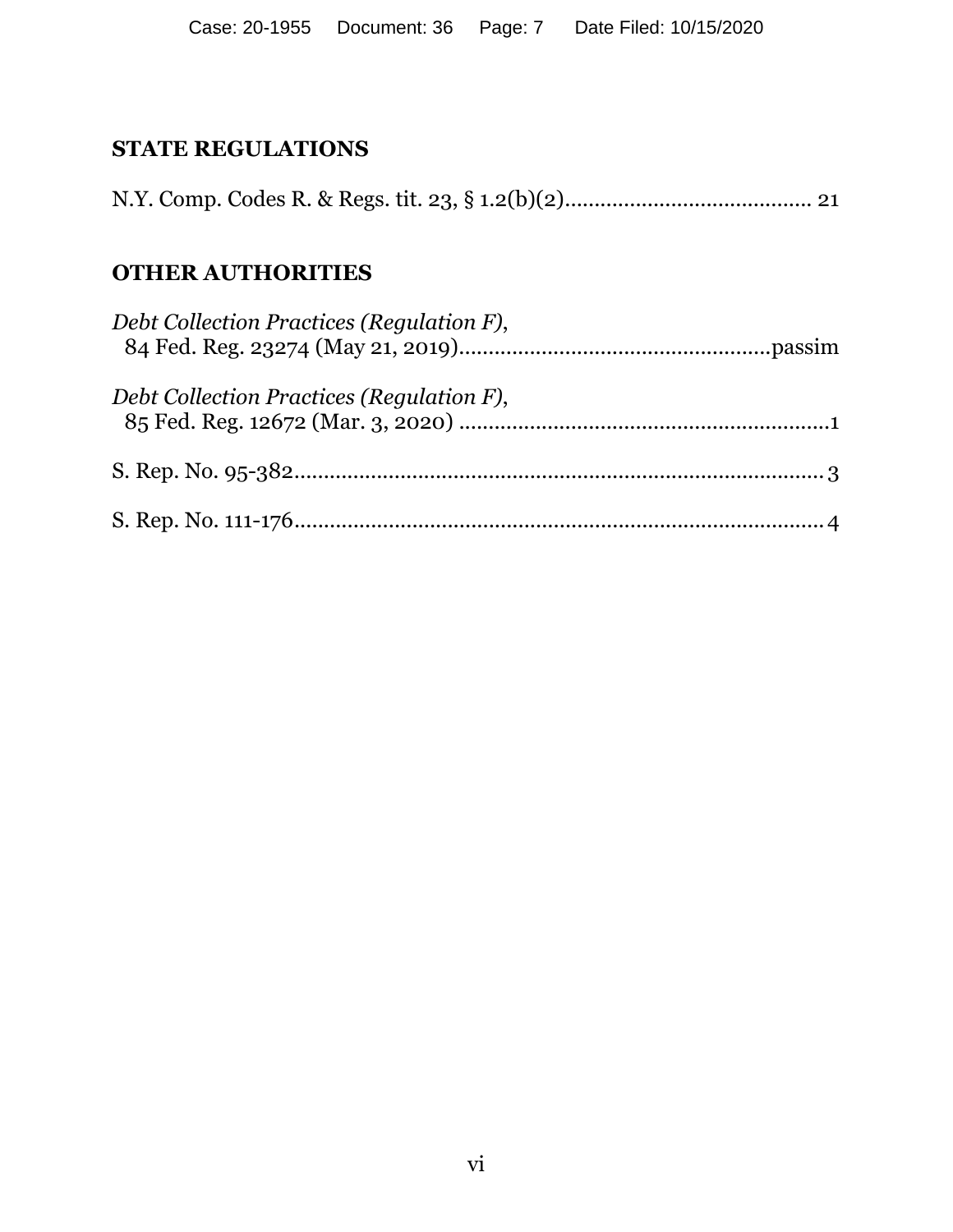## **STATE REGULATIONS**

N.Y. Comp. Codes R. & Regs. tit. 23, § 1.2(b)(2) .......................................... 21

## **OTHER AUTHORITIES**

| Debt Collection Practices (Regulation F), |  |
|-------------------------------------------|--|
| Debt Collection Practices (Regulation F), |  |
|                                           |  |
|                                           |  |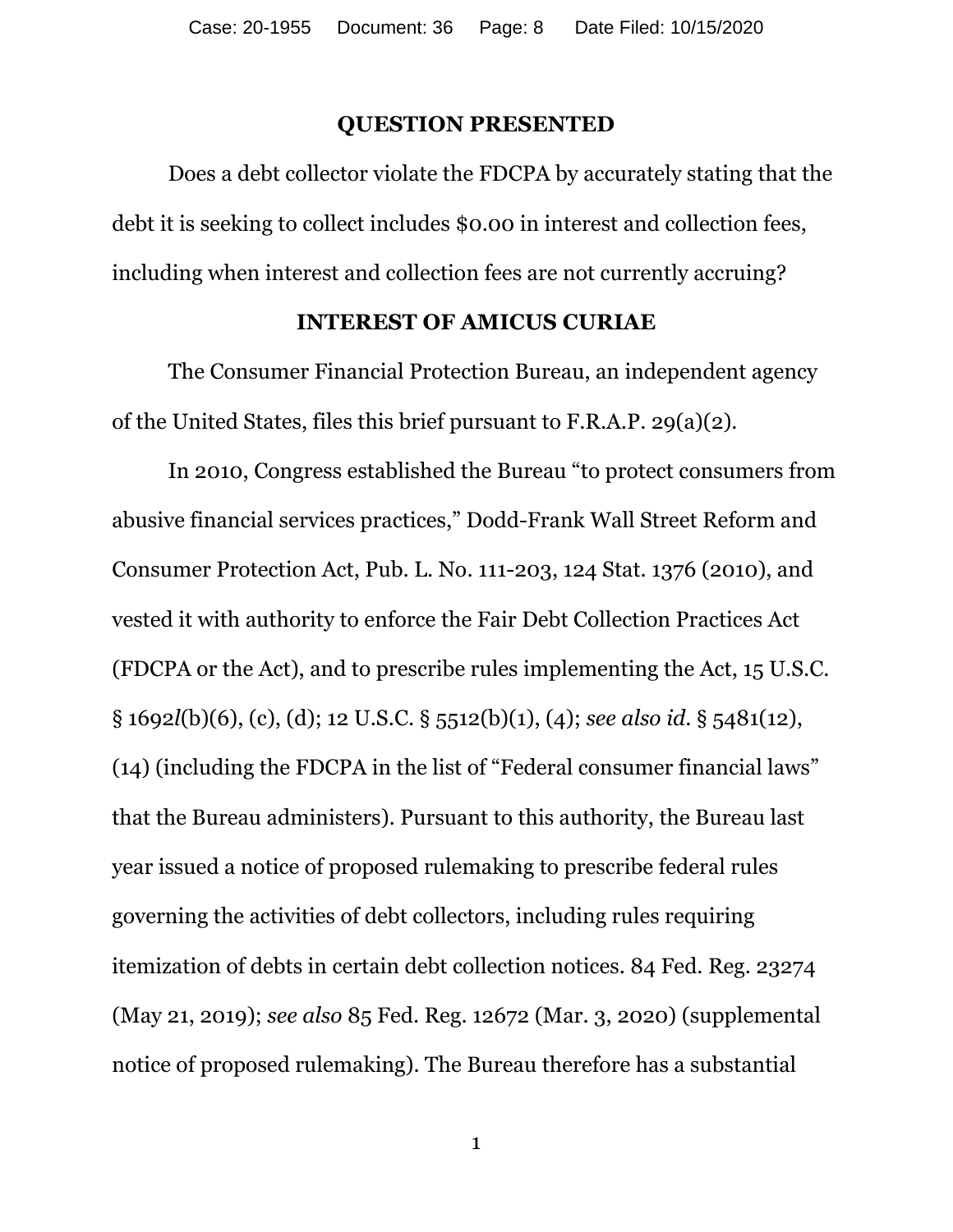### **QUESTION PRESENTED**

Does a debt collector violate the FDCPA by accurately stating that the debt it is seeking to collect includes \$0.00 in interest and collection fees, including when interest and collection fees are not currently accruing?

### **INTEREST OF AMICUS CURIAE**

 The Consumer Financial Protection Bureau, an independent agency of the United States, files this brief pursuant to F.R.A.P. 29(a)(2).

 In 2010, Congress established the Bureau "to protect consumers from abusive financial services practices," Dodd-Frank Wall Street Reform and Consumer Protection Act, Pub. L. No. 111-203, 124 Stat. 1376 (2010), and vested it with authority to enforce the Fair Debt Collection Practices Act (FDCPA or the Act), and to prescribe rules implementing the Act, 15 U.S.C. § 1692*l*(b)(6), (c), (d); 12 U.S.C. § 5512(b)(1), (4); *see also id*. § 5481(12), (14) (including the FDCPA in the list of "Federal consumer financial laws" that the Bureau administers). Pursuant to this authority, the Bureau last year issued a notice of proposed rulemaking to prescribe federal rules governing the activities of debt collectors, including rules requiring itemization of debts in certain debt collection notices. 84 Fed. Reg. 23274 (May 21, 2019); *see also* 85 Fed. Reg. 12672 (Mar. 3, 2020) (supplemental notice of proposed rulemaking). The Bureau therefore has a substantial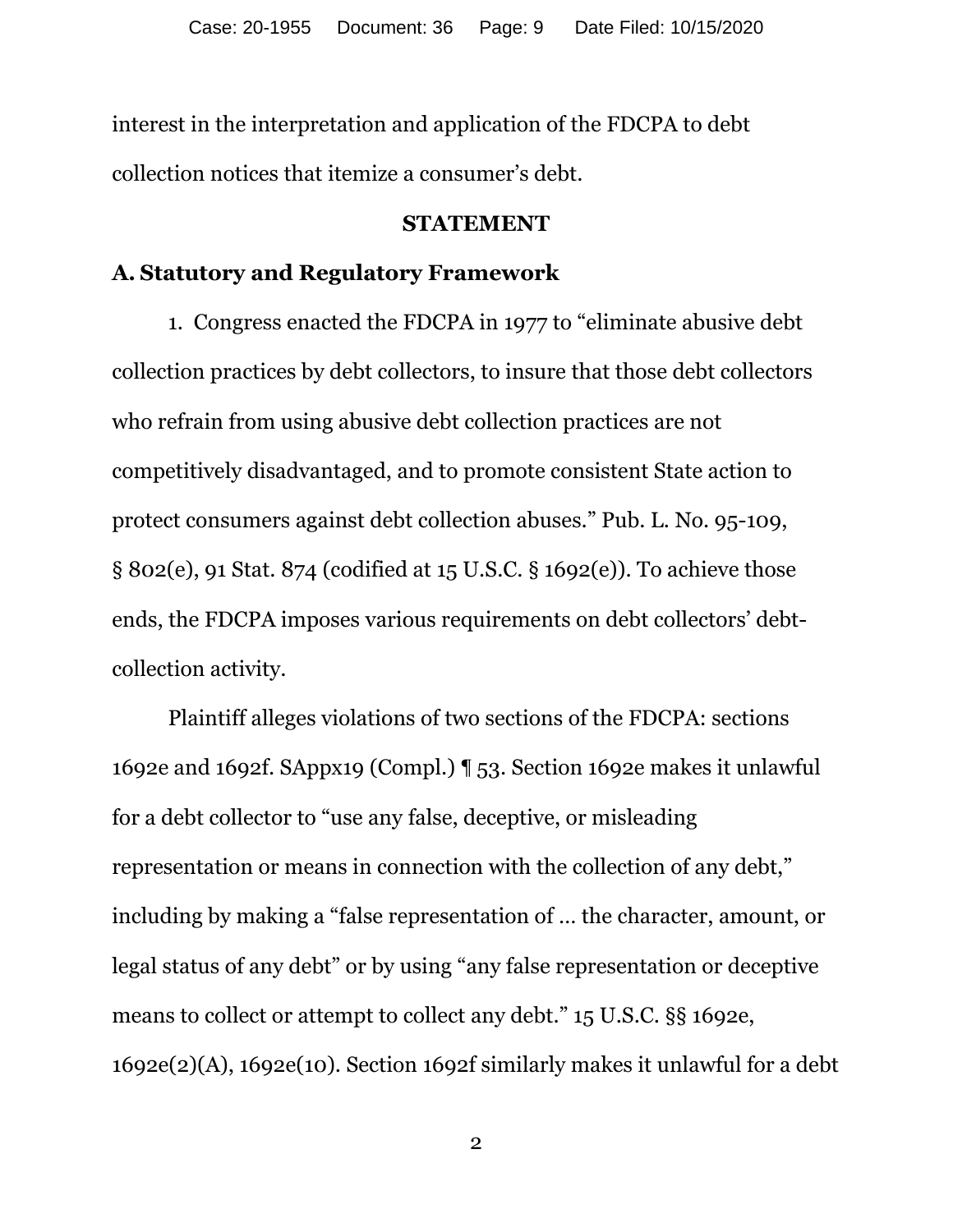interest in the interpretation and application of the FDCPA to debt collection notices that itemize a consumer's debt.

#### **STATEMENT**

### **A. Statutory and Regulatory Framework**

 1. Congress enacted the FDCPA in 1977 to "eliminate abusive debt collection practices by debt collectors, to insure that those debt collectors who refrain from using abusive debt collection practices are not competitively disadvantaged, and to promote consistent State action to protect consumers against debt collection abuses." Pub. L. No. 95-109, § 802(e), 91 Stat. 874 (codified at 15 U.S.C. § 1692(e)). To achieve those ends, the FDCPA imposes various requirements on debt collectors' debtcollection activity.

Plaintiff alleges violations of two sections of the FDCPA: sections 1692e and 1692f. SAppx19 (Compl.) ¶ 53. Section 1692e makes it unlawful for a debt collector to "use any false, deceptive, or misleading representation or means in connection with the collection of any debt," including by making a "false representation of … the character, amount, or legal status of any debt" or by using "any false representation or deceptive means to collect or attempt to collect any debt." 15 U.S.C. §§ 1692e, 1692e(2)(A), 1692e(10). Section 1692f similarly makes it unlawful for a debt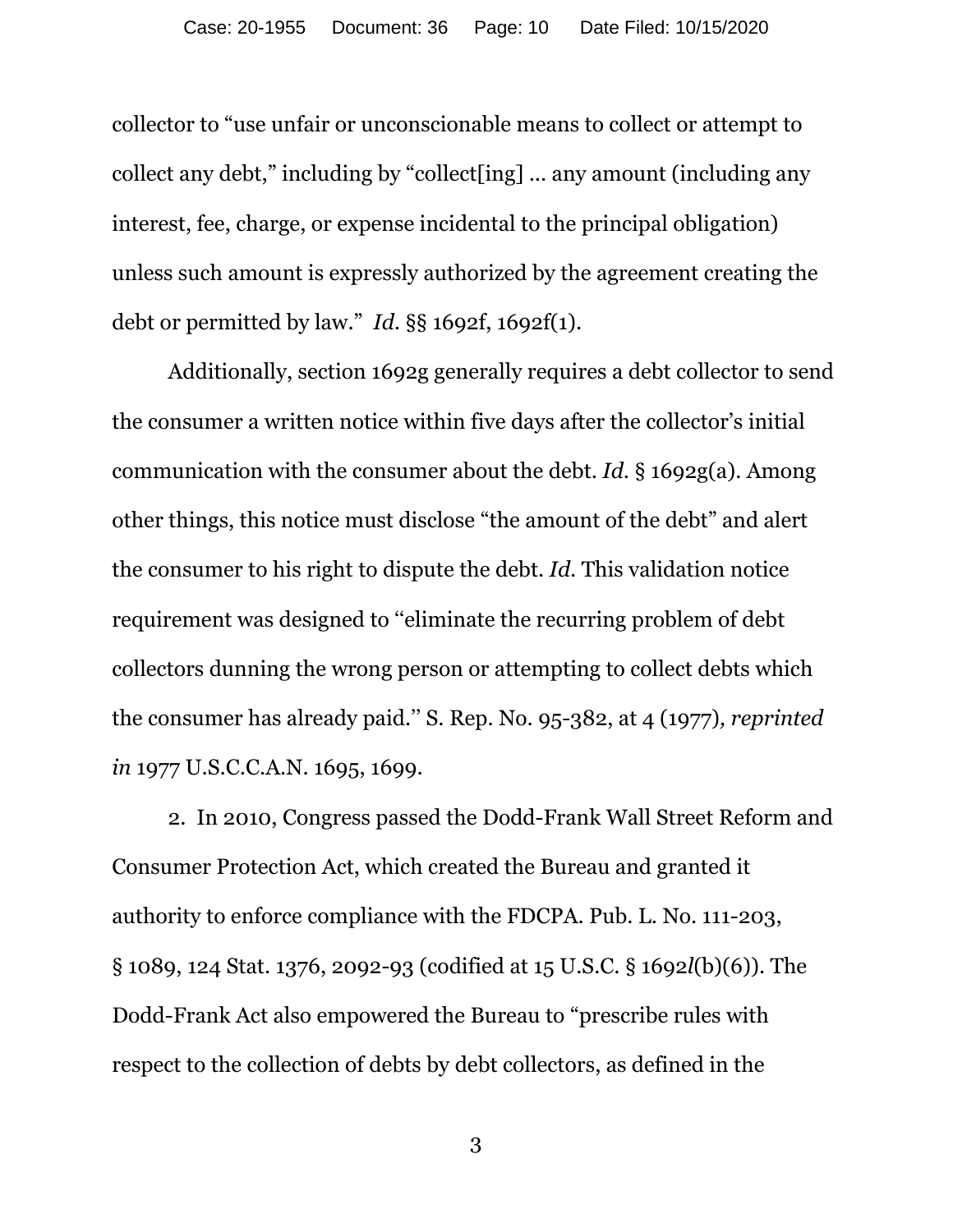collector to "use unfair or unconscionable means to collect or attempt to collect any debt," including by "collect[ing] ... any amount (including any interest, fee, charge, or expense incidental to the principal obligation) unless such amount is expressly authorized by the agreement creating the debt or permitted by law." *Id.* §§ 1692f, 1692f(1).

Additionally, section 1692g generally requires a debt collector to send the consumer a written notice within five days after the collector's initial communication with the consumer about the debt. *Id*. § 1692g(a). Among other things, this notice must disclose "the amount of the debt" and alert the consumer to his right to dispute the debt. *Id.* This validation notice requirement was designed to ''eliminate the recurring problem of debt collectors dunning the wrong person or attempting to collect debts which the consumer has already paid.'' S. Rep. No. 95-382, at 4 (1977)*, reprinted in* 1977 U.S.C.C.A.N. 1695, 1699.

2. In 2010, Congress passed the Dodd-Frank Wall Street Reform and Consumer Protection Act, which created the Bureau and granted it authority to enforce compliance with the FDCPA. Pub. L. No. 111-203, § 1089, 124 Stat. 1376, 2092-93 (codified at 15 U.S.C. § 1692*l*(b)(6)). The Dodd-Frank Act also empowered the Bureau to "prescribe rules with respect to the collection of debts by debt collectors, as defined in the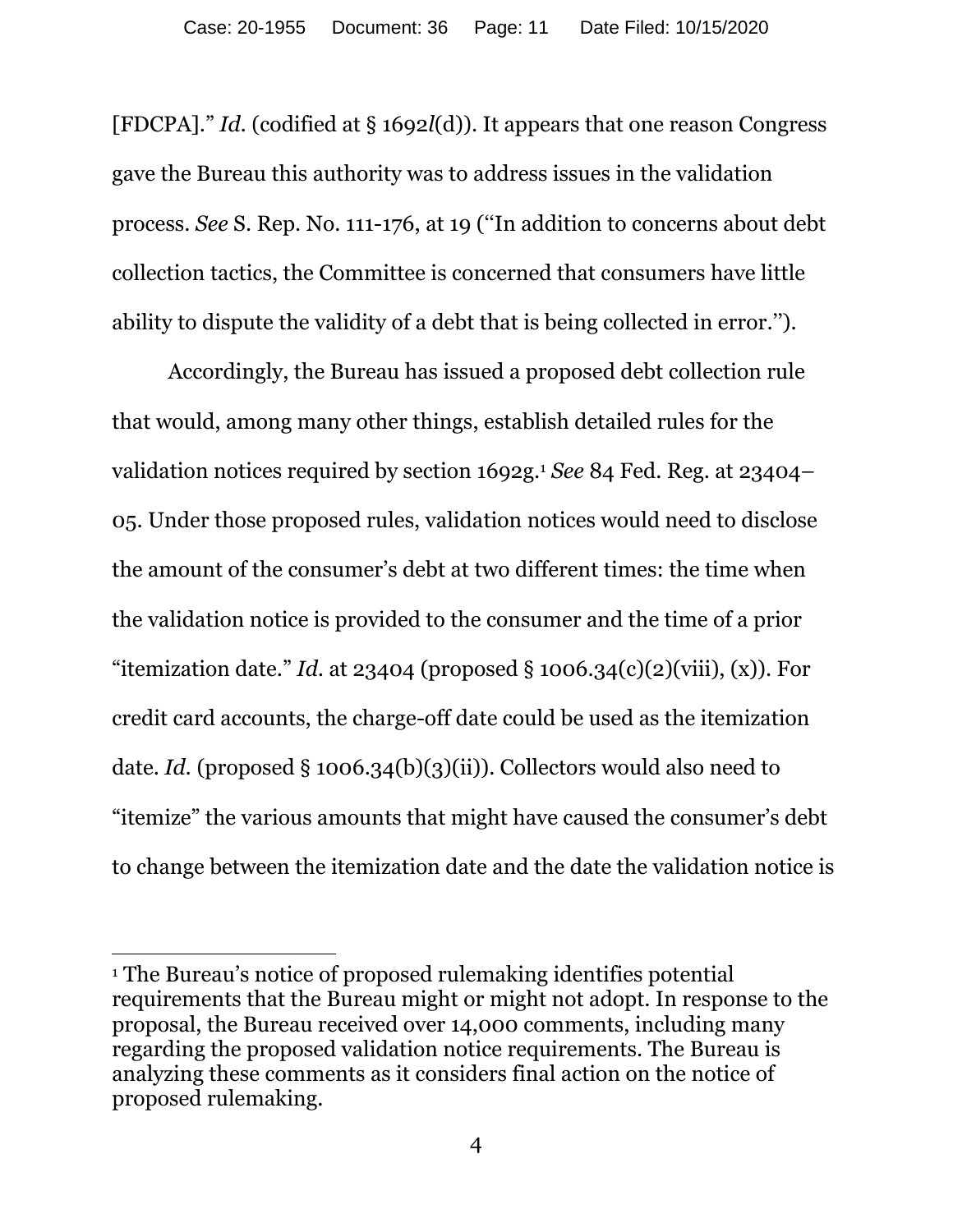[FDCPA]." *Id.* (codified at § 1692*l*(d)). It appears that one reason Congress gave the Bureau this authority was to address issues in the validation process. *See* S. Rep. No. 111-176, at 19 (''In addition to concerns about debt collection tactics, the Committee is concerned that consumers have little ability to dispute the validity of a debt that is being collected in error.'').

Accordingly, the Bureau has issued a proposed debt collection rule that would, among many other things, establish detailed rules for the validation notices required by section 1692g.1 *See* 84 Fed. Reg. at 23404– 05. Under those proposed rules, validation notices would need to disclose the amount of the consumer's debt at two different times: the time when the validation notice is provided to the consumer and the time of a prior "itemization date." *Id.* at 23404 (proposed  $\S$  1006.34(c)(2)(viii), (x)). For credit card accounts, the charge-off date could be used as the itemization date. *Id.* (proposed § 1006.34(b)(3)(ii)). Collectors would also need to "itemize" the various amounts that might have caused the consumer's debt to change between the itemization date and the date the validation notice is

 $\overline{a}$ 

<sup>1</sup> The Bureau's notice of proposed rulemaking identifies potential requirements that the Bureau might or might not adopt. In response to the proposal, the Bureau received over 14,000 comments, including many regarding the proposed validation notice requirements. The Bureau is analyzing these comments as it considers final action on the notice of proposed rulemaking.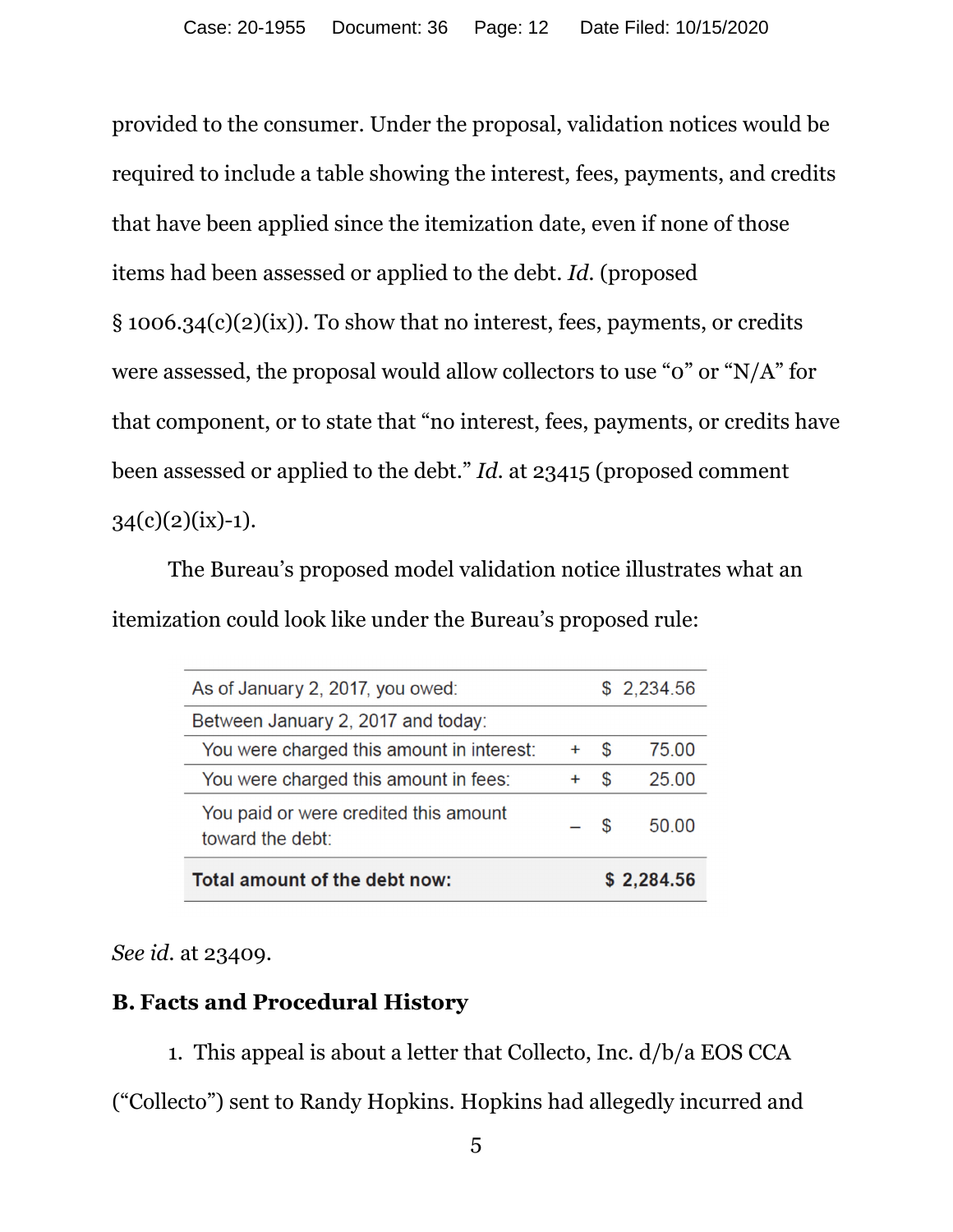provided to the consumer. Under the proposal, validation notices would be required to include a table showing the interest, fees, payments, and credits that have been applied since the itemization date, even if none of those items had been assessed or applied to the debt. *Id.* (proposed § 1006.34(c)(2)(ix)). To show that no interest, fees, payments, or credits were assessed, the proposal would allow collectors to use "0" or "N/A" for that component, or to state that "no interest, fees, payments, or credits have been assessed or applied to the debt." *Id.* at 23415 (proposed comment  $34(c)(2)(ix)-1)$ .

The Bureau's proposed model validation notice illustrates what an itemization could look like under the Bureau's proposed rule:

| As of January 2, 2017, you owed:                          |           |    | \$2,234.56 |
|-----------------------------------------------------------|-----------|----|------------|
| Between January 2, 2017 and today:                        |           |    |            |
| You were charged this amount in interest:                 | $\ddot{}$ | S  | 75 00      |
| You were charged this amount in fees:                     |           | \$ | 25.00      |
| You paid or were credited this amount<br>toward the debt: | $-$ \$    |    | 50.00      |
| Total amount of the debt now:<br>\$2,284.56               |           |    |            |

*See id.* at 23409.

# **B. Facts and Procedural History**

1. This appeal is about a letter that Collecto, Inc. d/b/a EOS CCA ("Collecto") sent to Randy Hopkins. Hopkins had allegedly incurred and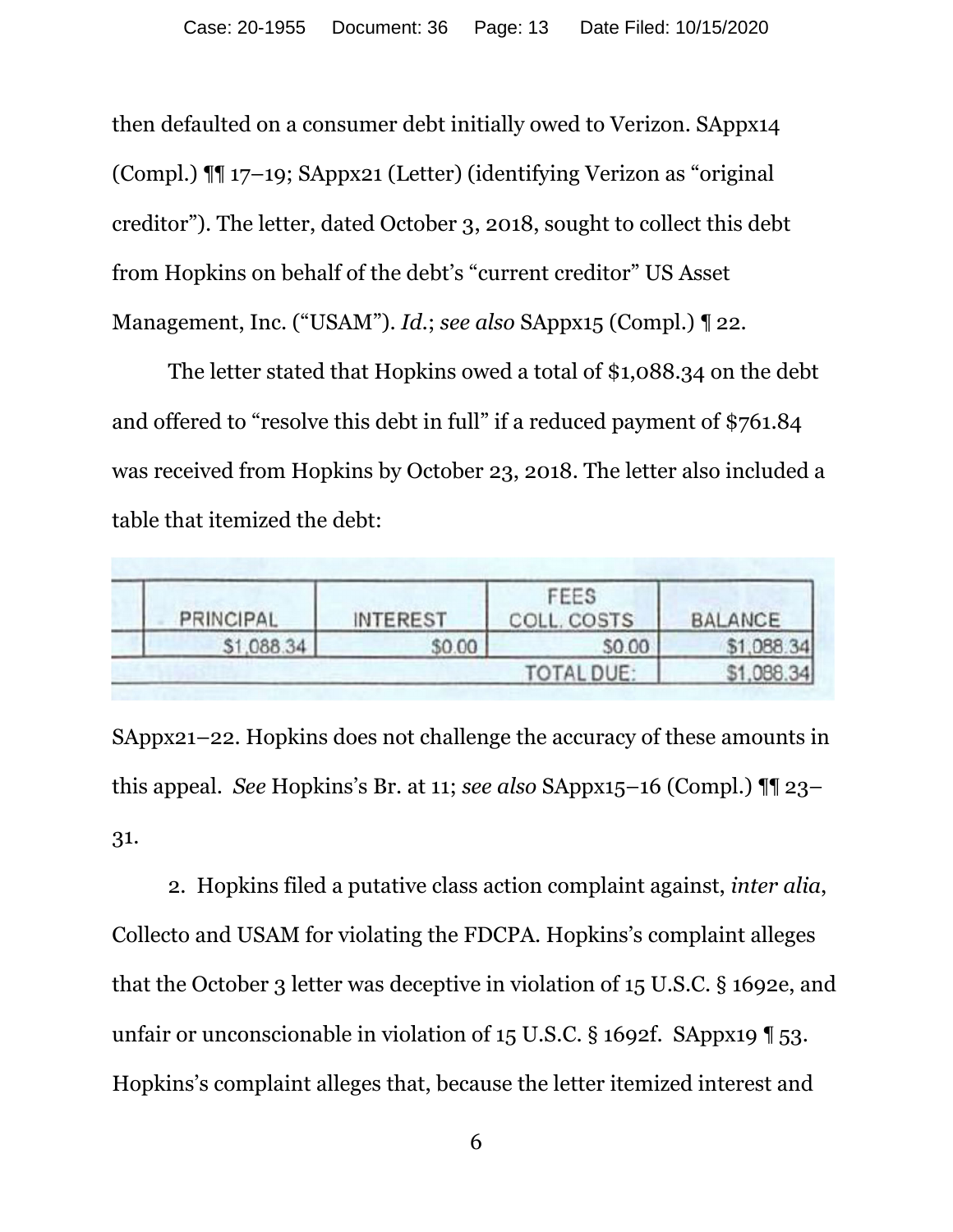then defaulted on a consumer debt initially owed to Verizon. SAppx14 (Compl.) ¶¶ 17–19; SAppx21 (Letter) (identifying Verizon as "original creditor"). The letter, dated October 3, 2018, sought to collect this debt from Hopkins on behalf of the debt's "current creditor" US Asset Management, Inc. ("USAM"). *Id.*; *see also* SAppx15 (Compl.) ¶ 22.

The letter stated that Hopkins owed a total of \$1,088.34 on the debt and offered to "resolve this debt in full" if a reduced payment of \$761.84 was received from Hopkins by October 23, 2018. The letter also included a table that itemized the debt:

| <b>PRINCIPAL</b> | <b>INTEREST</b> | FEES<br>COLL. COSTS | <b>BALANCE</b> |
|------------------|-----------------|---------------------|----------------|
| \$1,088.34       | \$0.00          | \$0.00              | \$1,088.34     |
|                  |                 | <b>TOTAL DUE:</b>   | \$1,088.34     |

SAppx21–22. Hopkins does not challenge the accuracy of these amounts in this appeal. *See* Hopkins's Br. at 11; *see also* SAppx15–16 (Compl.) ¶¶ 23– 31.

2. Hopkins filed a putative class action complaint against, *inter alia*, Collecto and USAM for violating the FDCPA. Hopkins's complaint alleges that the October 3 letter was deceptive in violation of 15 U.S.C. § 1692e, and unfair or unconscionable in violation of 15 U.S.C. § 1692f. SAppx19 ¶ 53. Hopkins's complaint alleges that, because the letter itemized interest and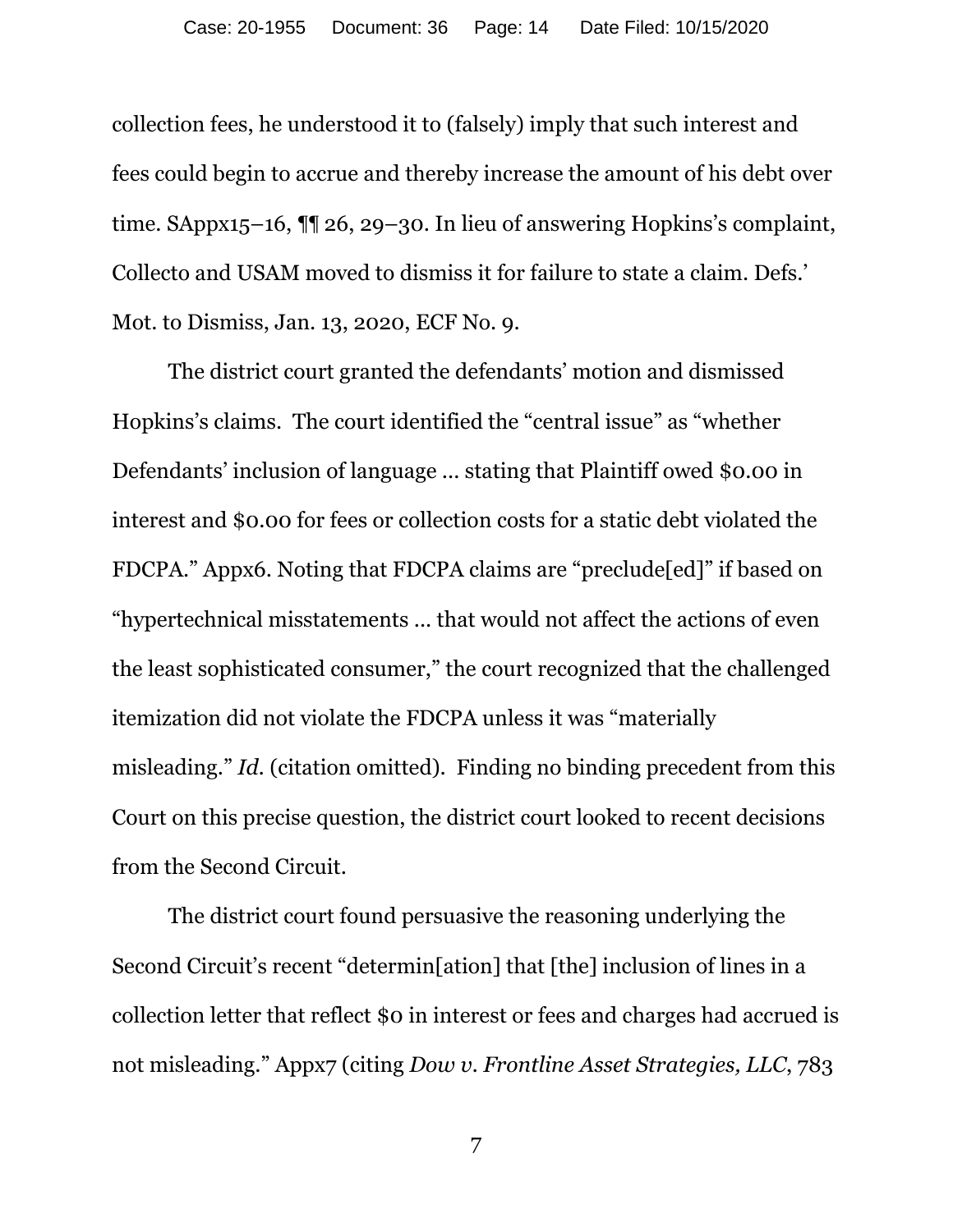collection fees, he understood it to (falsely) imply that such interest and fees could begin to accrue and thereby increase the amount of his debt over time. SAppx15–16, ¶¶ 26, 29–30. In lieu of answering Hopkins's complaint, Collecto and USAM moved to dismiss it for failure to state a claim. Defs.' Mot. to Dismiss, Jan. 13, 2020, ECF No. 9.

The district court granted the defendants' motion and dismissed Hopkins's claims. The court identified the "central issue" as "whether Defendants' inclusion of language ... stating that Plaintiff owed \$0.00 in interest and \$0.00 for fees or collection costs for a static debt violated the FDCPA." Appx6. Noting that FDCPA claims are "preclude[ed]" if based on "hypertechnical misstatements ... that would not affect the actions of even the least sophisticated consumer," the court recognized that the challenged itemization did not violate the FDCPA unless it was "materially misleading." *Id.* (citation omitted). Finding no binding precedent from this Court on this precise question, the district court looked to recent decisions from the Second Circuit.

The district court found persuasive the reasoning underlying the Second Circuit's recent "determin[ation] that [the] inclusion of lines in a collection letter that reflect \$0 in interest or fees and charges had accrued is not misleading." Appx7 (citing *Dow v. Frontline Asset Strategies, LLC*, 783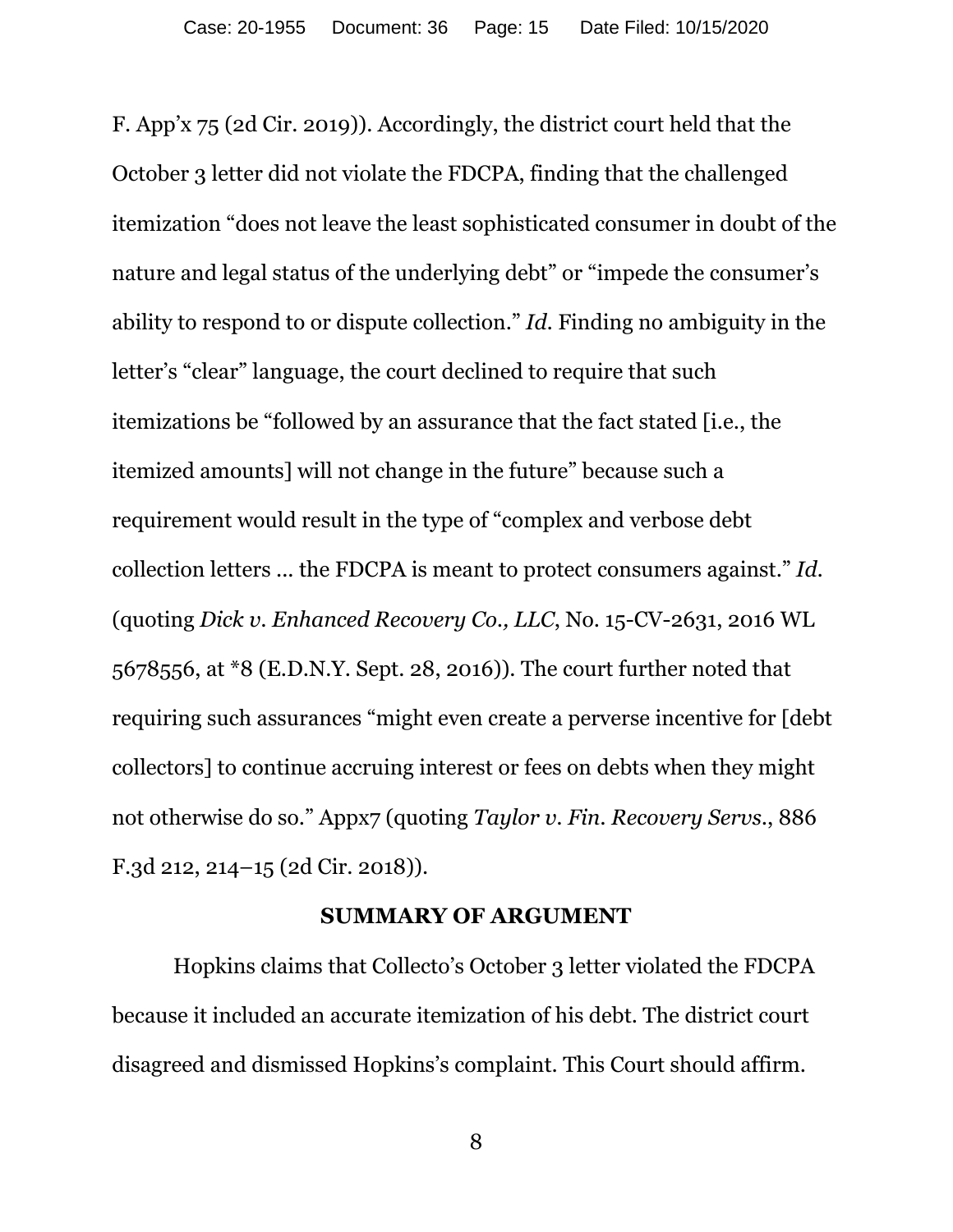F. App'x 75 (2d Cir. 2019)). Accordingly, the district court held that the October 3 letter did not violate the FDCPA, finding that the challenged itemization "does not leave the least sophisticated consumer in doubt of the nature and legal status of the underlying debt" or "impede the consumer's ability to respond to or dispute collection." *Id.* Finding no ambiguity in the letter's "clear" language, the court declined to require that such itemizations be "followed by an assurance that the fact stated [i.e., the itemized amounts] will not change in the future" because such a requirement would result in the type of "complex and verbose debt collection letters ... the FDCPA is meant to protect consumers against." *Id.* (quoting *Dick v. Enhanced Recovery Co., LLC*, No. 15-CV-2631, 2016 WL 5678556, at \*8 (E.D.N.Y. Sept. 28, 2016)). The court further noted that requiring such assurances "might even create a perverse incentive for [debt collectors] to continue accruing interest or fees on debts when they might not otherwise do so." Appx7 (quoting *Taylor v. Fin. Recovery Servs.*, 886 F.3d 212, 214–15 (2d Cir. 2018)).

### **SUMMARY OF ARGUMENT**

 Hopkins claims that Collecto's October 3 letter violated the FDCPA because it included an accurate itemization of his debt. The district court disagreed and dismissed Hopkins's complaint. This Court should affirm.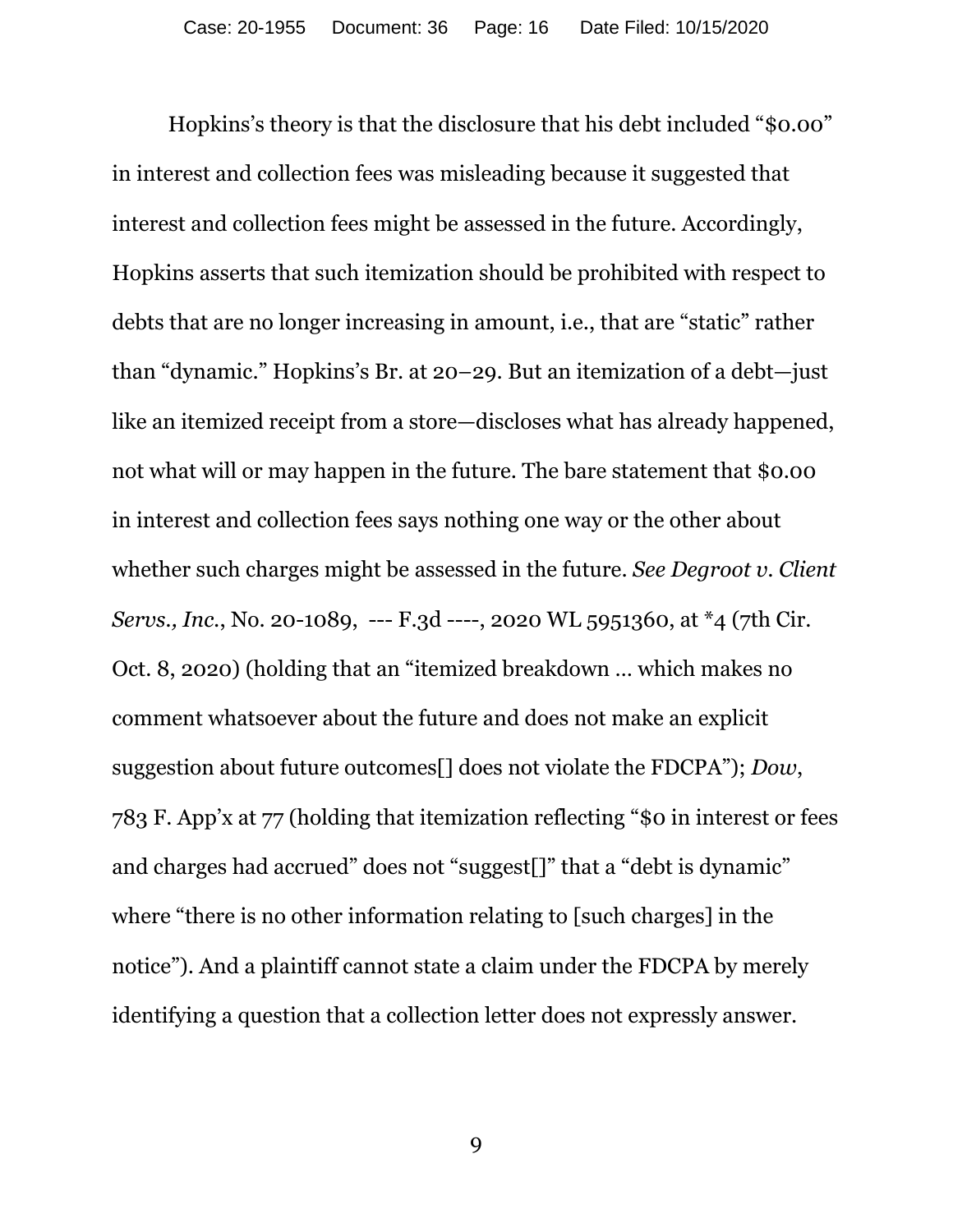Hopkins's theory is that the disclosure that his debt included "\$0.00" in interest and collection fees was misleading because it suggested that interest and collection fees might be assessed in the future. Accordingly, Hopkins asserts that such itemization should be prohibited with respect to debts that are no longer increasing in amount, i.e., that are "static" rather than "dynamic." Hopkins's Br. at 20–29. But an itemization of a debt—just like an itemized receipt from a store—discloses what has already happened, not what will or may happen in the future. The bare statement that \$0.00 in interest and collection fees says nothing one way or the other about whether such charges might be assessed in the future. *See Degroot v. Client Servs., Inc.*, No. 20-1089, --- F.3d ----, 2020 WL 5951360, at \*4 (7th Cir. Oct. 8, 2020) (holding that an "itemized breakdown … which makes no comment whatsoever about the future and does not make an explicit suggestion about future outcomes[] does not violate the FDCPA"); *Dow*, 783 F. App'x at 77 (holding that itemization reflecting "\$0 in interest or fees and charges had accrued" does not "suggest[]" that a "debt is dynamic" where "there is no other information relating to [such charges] in the notice"). And a plaintiff cannot state a claim under the FDCPA by merely identifying a question that a collection letter does not expressly answer.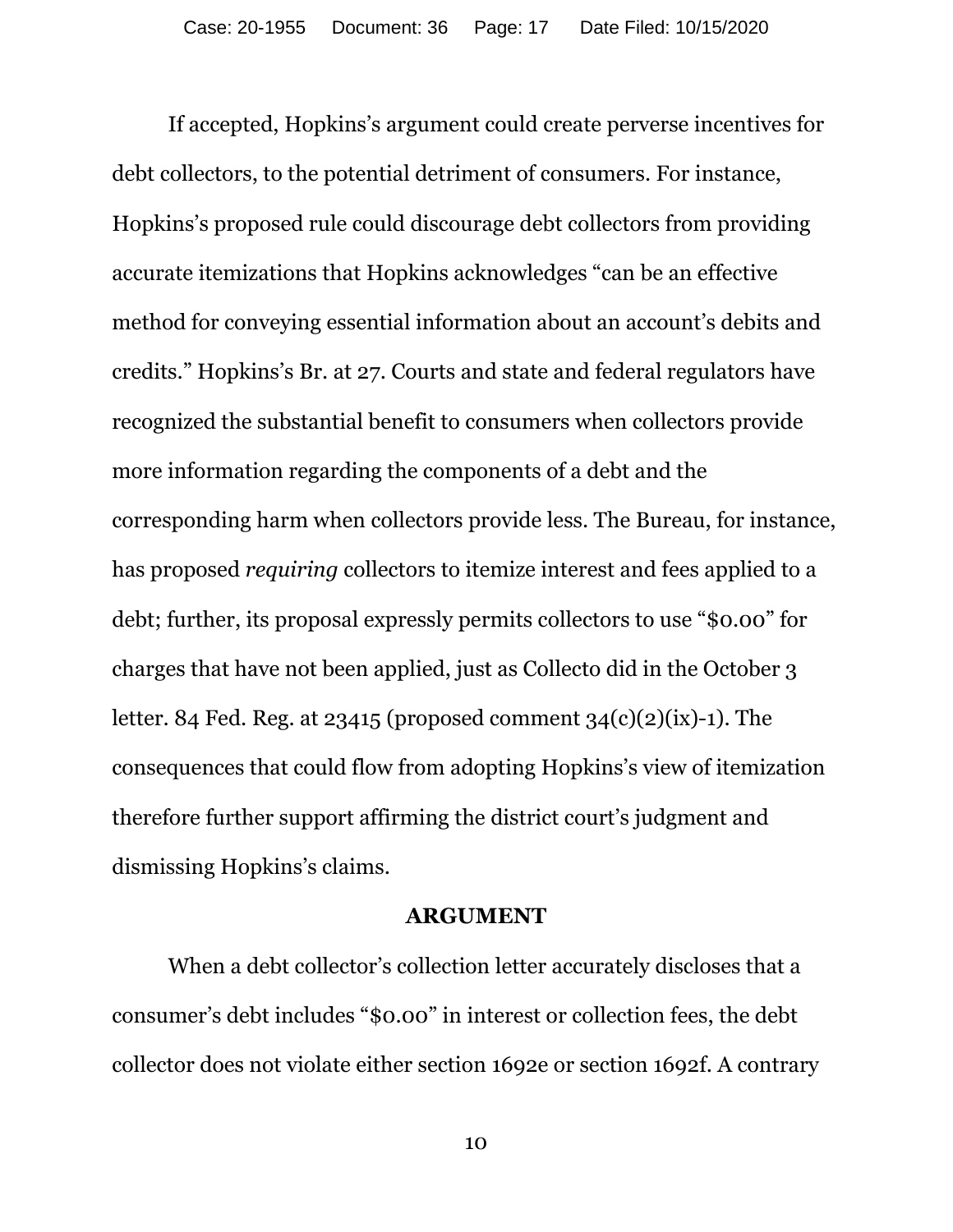If accepted, Hopkins's argument could create perverse incentives for debt collectors, to the potential detriment of consumers. For instance, Hopkins's proposed rule could discourage debt collectors from providing accurate itemizations that Hopkins acknowledges "can be an effective method for conveying essential information about an account's debits and credits." Hopkins's Br. at 27. Courts and state and federal regulators have recognized the substantial benefit to consumers when collectors provide more information regarding the components of a debt and the corresponding harm when collectors provide less. The Bureau, for instance, has proposed *requiring* collectors to itemize interest and fees applied to a debt; further, its proposal expressly permits collectors to use "\$0.00" for charges that have not been applied, just as Collecto did in the October 3 letter. 84 Fed. Reg. at 23415 (proposed comment  $34(c)(2)(ix)-1$ ). The consequences that could flow from adopting Hopkins's view of itemization therefore further support affirming the district court's judgment and dismissing Hopkins's claims.

#### **ARGUMENT**

When a debt collector's collection letter accurately discloses that a consumer's debt includes "\$0.00" in interest or collection fees, the debt collector does not violate either section 1692e or section 1692f. A contrary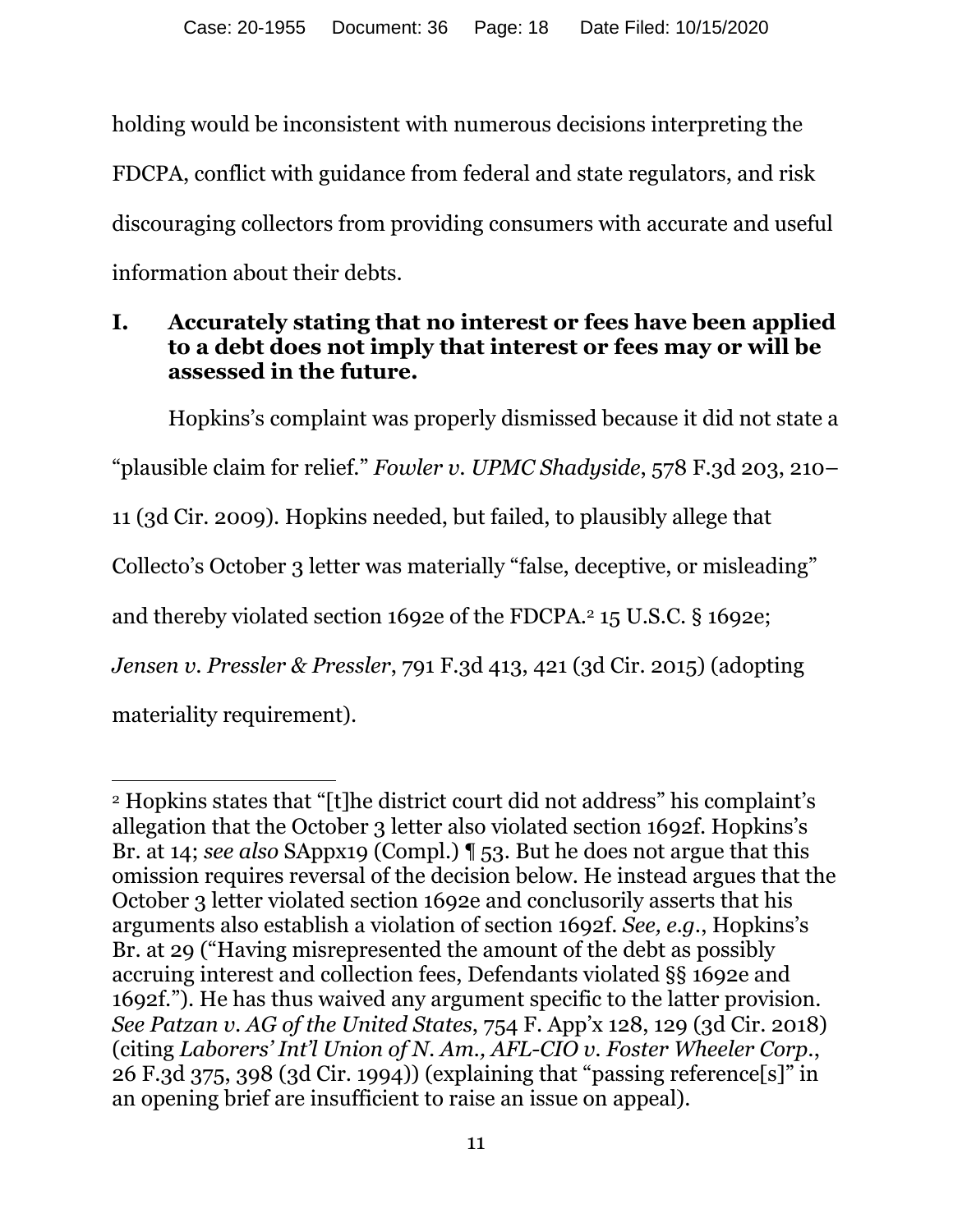holding would be inconsistent with numerous decisions interpreting the FDCPA, conflict with guidance from federal and state regulators, and risk discouraging collectors from providing consumers with accurate and useful information about their debts.

## **I. Accurately stating that no interest or fees have been applied to a debt does not imply that interest or fees may or will be assessed in the future.**

Hopkins's complaint was properly dismissed because it did not state a "plausible claim for relief." *Fowler v. UPMC Shadyside*, 578 F.3d 203, 210– 11 (3d Cir. 2009). Hopkins needed, but failed, to plausibly allege that Collecto's October 3 letter was materially "false, deceptive, or misleading" and thereby violated section 1692e of the FDCPA.2 15 U.S.C. § 1692e; *Jensen v. Pressler & Pressler*, 791 F.3d 413, 421 (3d Cir. 2015) (adopting materiality requirement).

 $\overline{a}$ 2 Hopkins states that "[t]he district court did not address" his complaint's allegation that the October 3 letter also violated section 1692f. Hopkins's Br. at 14; *see also* SAppx19 (Compl.) ¶ 53. But he does not argue that this omission requires reversal of the decision below. He instead argues that the October 3 letter violated section 1692e and conclusorily asserts that his arguments also establish a violation of section 1692f. *See, e.g.*, Hopkins's Br. at 29 ("Having misrepresented the amount of the debt as possibly accruing interest and collection fees, Defendants violated §§ 1692e and 1692f."). He has thus waived any argument specific to the latter provision. *See Patzan v. AG of the United States*, 754 F. App'x 128, 129 (3d Cir. 2018) (citing *Laborers' Int'l Union of N. Am., AFL-CIO v. Foster Wheeler Corp.*, 26 F.3d 375, 398 (3d Cir. 1994)) (explaining that "passing reference[s]" in an opening brief are insufficient to raise an issue on appeal).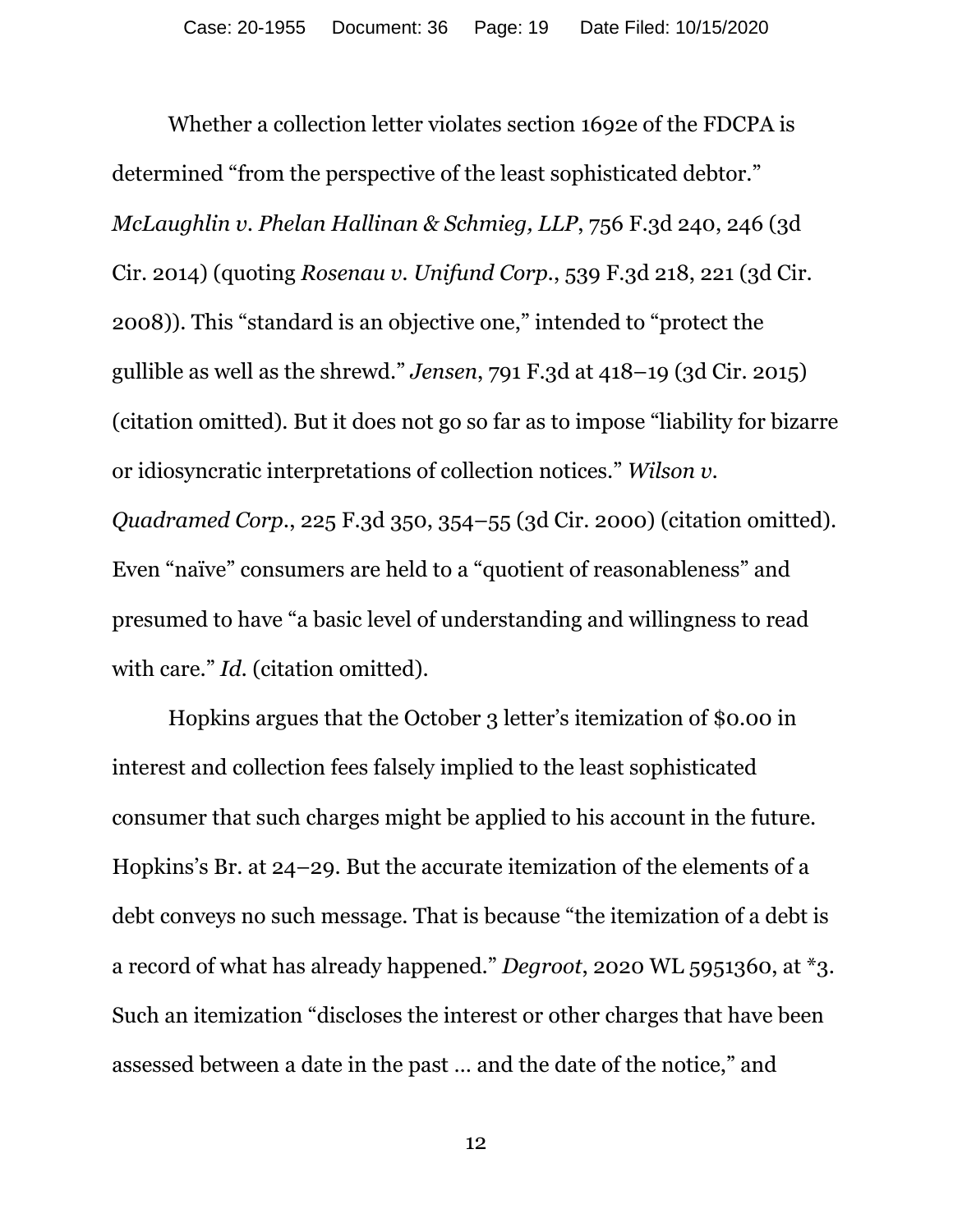Whether a collection letter violates section 1692e of the FDCPA is determined "from the perspective of the least sophisticated debtor." *McLaughlin v. Phelan Hallinan & Schmieg, LLP*, 756 F.3d 240, 246 (3d Cir. 2014) (quoting *Rosenau v. Unifund Corp.*, 539 F.3d 218, 221 (3d Cir. 2008)). This "standard is an objective one," intended to "protect the gullible as well as the shrewd." *Jensen*, 791 F.3d at 418–19 (3d Cir. 2015) (citation omitted). But it does not go so far as to impose "liability for bizarre or idiosyncratic interpretations of collection notices." *Wilson v. Quadramed Corp.*, 225 F.3d 350, 354–55 (3d Cir. 2000) (citation omitted). Even "naïve" consumers are held to a "quotient of reasonableness" and presumed to have "a basic level of understanding and willingness to read with care." *Id.* (citation omitted).

Hopkins argues that the October 3 letter's itemization of \$0.00 in interest and collection fees falsely implied to the least sophisticated consumer that such charges might be applied to his account in the future. Hopkins's Br. at 24–29. But the accurate itemization of the elements of a debt conveys no such message. That is because "the itemization of a debt is a record of what has already happened." *Degroot*, 2020 WL 5951360, at \*3. Such an itemization "discloses the interest or other charges that have been assessed between a date in the past … and the date of the notice," and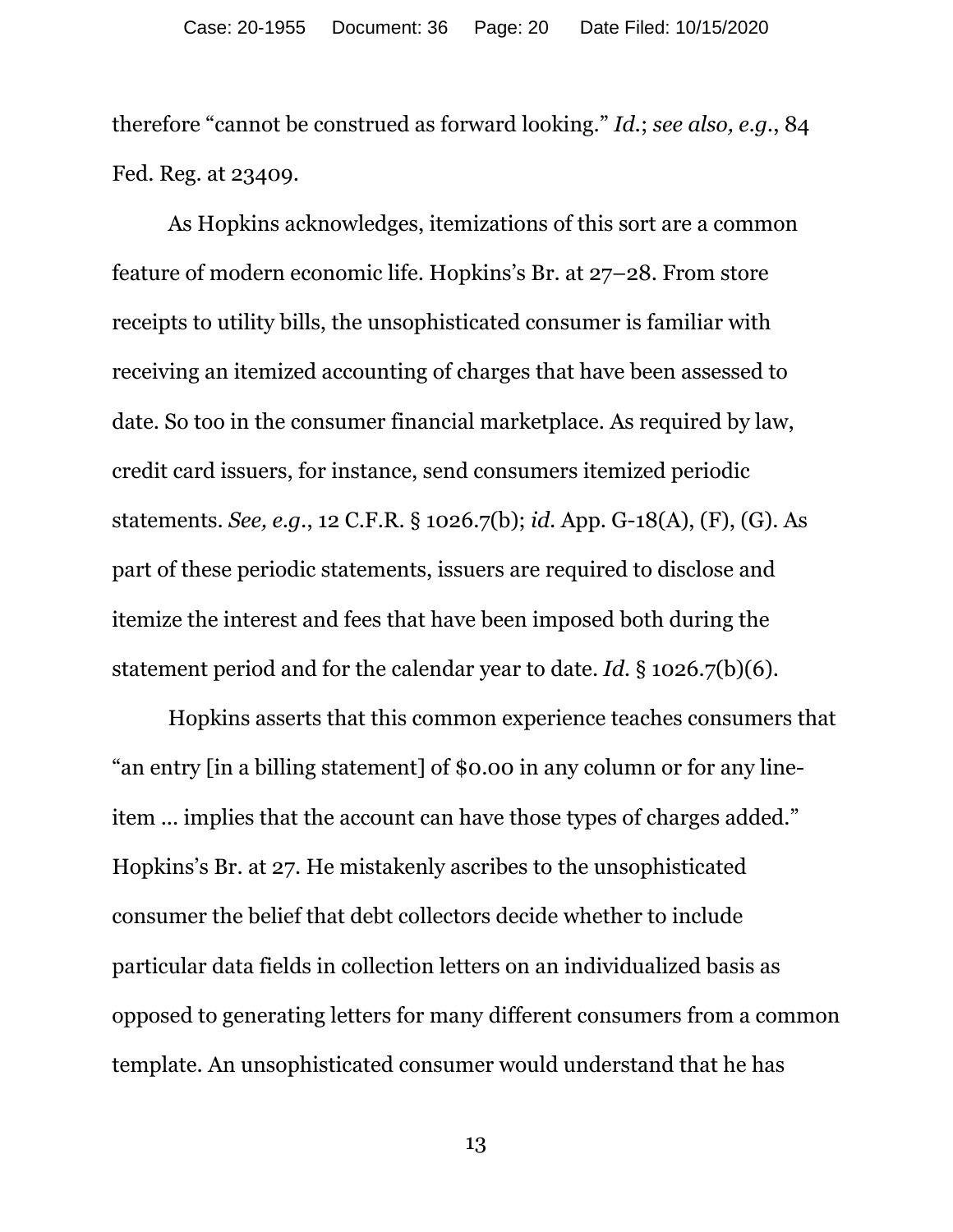therefore "cannot be construed as forward looking." *Id.*; *see also, e.g.*, 84 Fed. Reg. at 23409.

As Hopkins acknowledges, itemizations of this sort are a common feature of modern economic life. Hopkins's Br. at 27–28. From store receipts to utility bills, the unsophisticated consumer is familiar with receiving an itemized accounting of charges that have been assessed to date. So too in the consumer financial marketplace. As required by law, credit card issuers, for instance, send consumers itemized periodic statements. *See, e.g.*, 12 C.F.R. § 1026.7(b); *id.* App. G-18(A), (F), (G). As part of these periodic statements, issuers are required to disclose and itemize the interest and fees that have been imposed both during the statement period and for the calendar year to date. *Id.* § 1026.7(b)(6).

Hopkins asserts that this common experience teaches consumers that "an entry [in a billing statement] of \$0.00 in any column or for any lineitem ... implies that the account can have those types of charges added." Hopkins's Br. at 27. He mistakenly ascribes to the unsophisticated consumer the belief that debt collectors decide whether to include particular data fields in collection letters on an individualized basis as opposed to generating letters for many different consumers from a common template. An unsophisticated consumer would understand that he has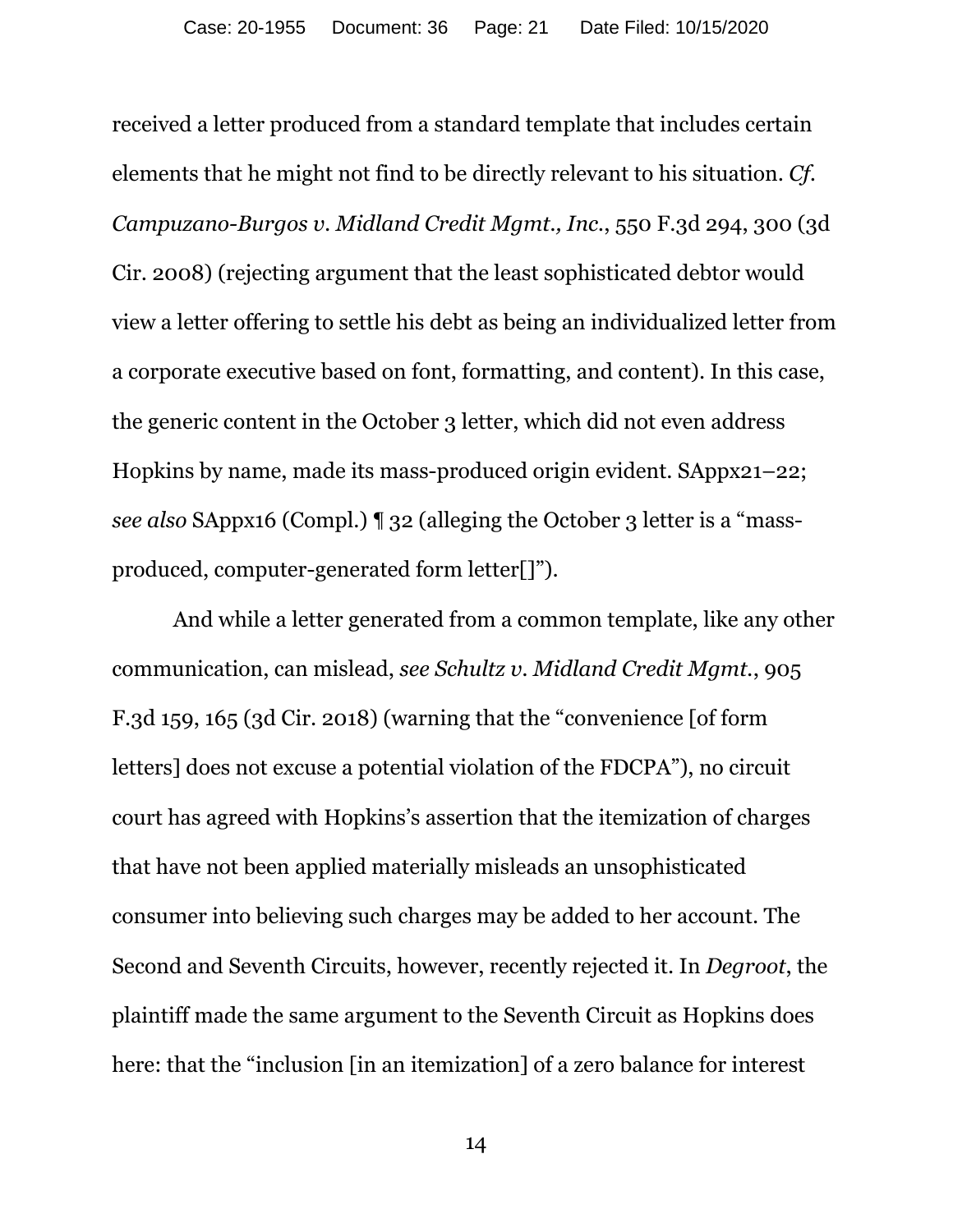received a letter produced from a standard template that includes certain elements that he might not find to be directly relevant to his situation. *Cf. Campuzano-Burgos v. Midland Credit Mgmt., Inc.*, 550 F.3d 294, 300 (3d Cir. 2008) (rejecting argument that the least sophisticated debtor would view a letter offering to settle his debt as being an individualized letter from a corporate executive based on font, formatting, and content). In this case, the generic content in the October 3 letter, which did not even address Hopkins by name, made its mass-produced origin evident. SAppx21–22; *see also* SAppx16 (Compl.) ¶ 32 (alleging the October 3 letter is a "massproduced, computer-generated form letter[]").

 And while a letter generated from a common template, like any other communication, can mislead, *see Schultz v. Midland Credit Mgmt.*, 905 F.3d 159, 165 (3d Cir. 2018) (warning that the "convenience [of form letters] does not excuse a potential violation of the FDCPA"), no circuit court has agreed with Hopkins's assertion that the itemization of charges that have not been applied materially misleads an unsophisticated consumer into believing such charges may be added to her account. The Second and Seventh Circuits, however, recently rejected it. In *Degroot*, the plaintiff made the same argument to the Seventh Circuit as Hopkins does here: that the "inclusion [in an itemization] of a zero balance for interest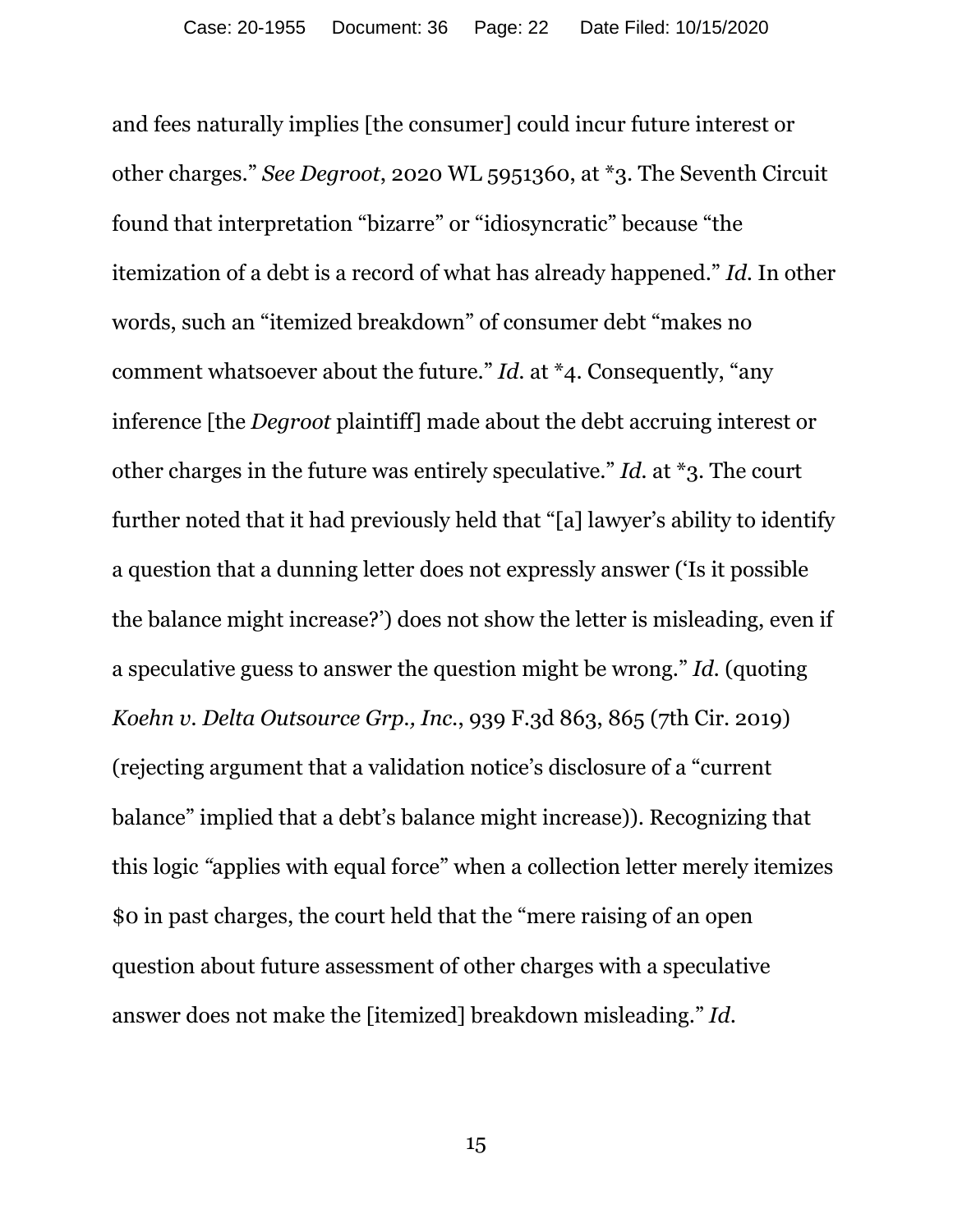and fees naturally implies [the consumer] could incur future interest or other charges." *See Degroot*, 2020 WL 5951360, at \*3. The Seventh Circuit found that interpretation "bizarre" or "idiosyncratic" because "the itemization of a debt is a record of what has already happened." *Id*. In other words, such an "itemized breakdown" of consumer debt "makes no comment whatsoever about the future." *Id.* at \*4. Consequently, "any inference [the *Degroot* plaintiff] made about the debt accruing interest or other charges in the future was entirely speculative." *Id.* at \*3. The court further noted that it had previously held that "[a] lawyer's ability to identify a question that a dunning letter does not expressly answer ('Is it possible the balance might increase?') does not show the letter is misleading, even if a speculative guess to answer the question might be wrong." *Id.* (quoting *Koehn v. Delta Outsource Grp., Inc.*, 939 F.3d 863, 865 (7th Cir. 2019) (rejecting argument that a validation notice's disclosure of a "current balance" implied that a debt's balance might increase)). Recognizing that this logic *"*applies with equal force" when a collection letter merely itemizes \$0 in past charges, the court held that the "mere raising of an open question about future assessment of other charges with a speculative answer does not make the [itemized] breakdown misleading." *Id*.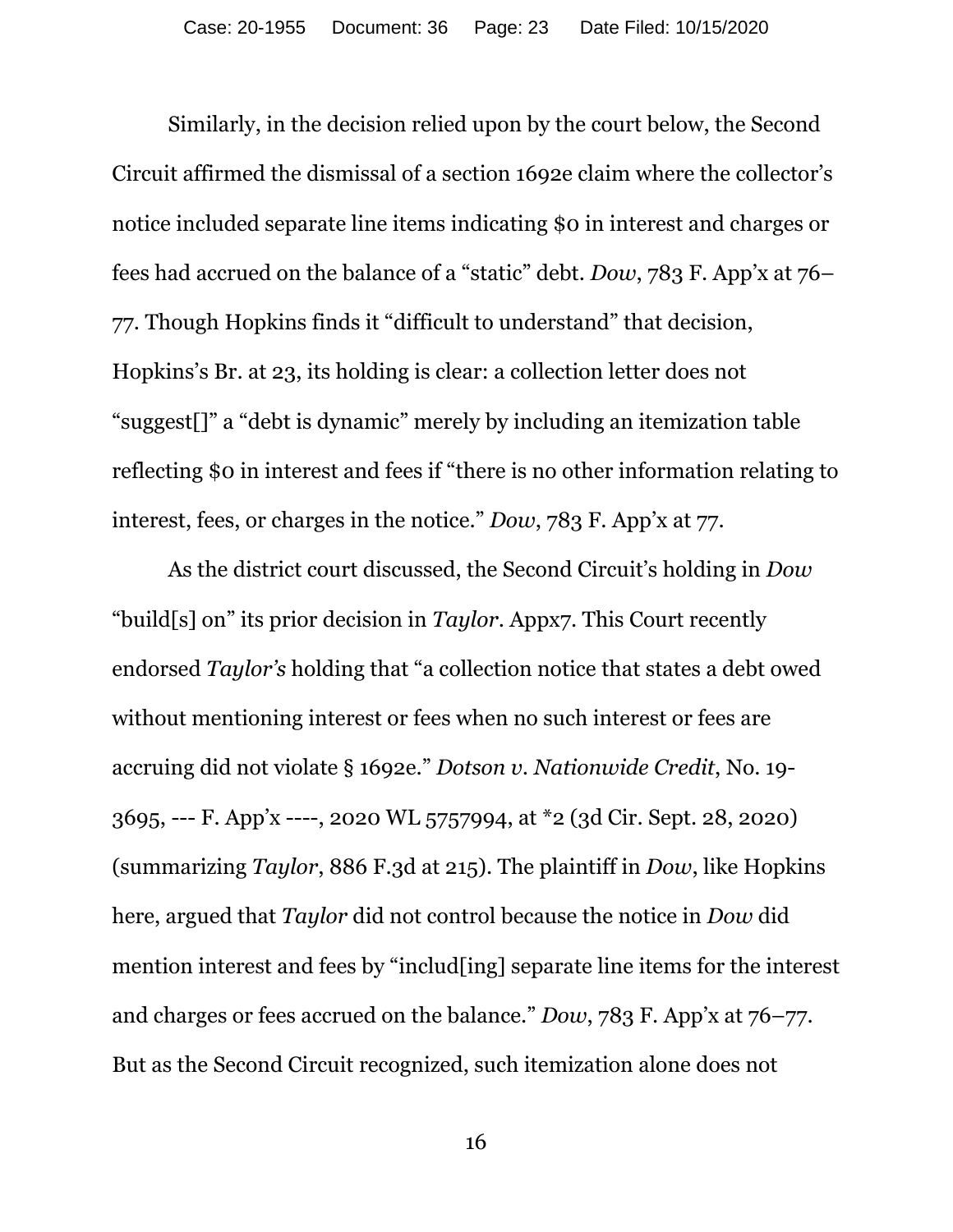Similarly, in the decision relied upon by the court below, the Second Circuit affirmed the dismissal of a section 1692e claim where the collector's notice included separate line items indicating \$0 in interest and charges or fees had accrued on the balance of a "static" debt. *Dow*, 783 F. App'x at 76– 77. Though Hopkins finds it "difficult to understand" that decision, Hopkins's Br. at 23, its holding is clear: a collection letter does not "suggest[]" a "debt is dynamic" merely by including an itemization table reflecting \$0 in interest and fees if "there is no other information relating to interest, fees, or charges in the notice." *Dow*, 783 F. App'x at 77.

As the district court discussed, the Second Circuit's holding in *Dow*  "build[s] on" its prior decision in *Taylor*. Appx7. This Court recently endorsed *Taylor's* holding that "a collection notice that states a debt owed without mentioning interest or fees when no such interest or fees are accruing did not violate § 1692e." *Dotson v. Nationwide Credit*, No. 19- 3695, --- F. App'x ----, 2020 WL 5757994, at \*2 (3d Cir. Sept. 28, 2020) (summarizing *Taylor*, 886 F.3d at 215). The plaintiff in *Dow*, like Hopkins here, argued that *Taylor* did not control because the notice in *Dow* did mention interest and fees by "includ[ing] separate line items for the interest and charges or fees accrued on the balance." *Dow*, 783 F. App'x at 76–77. But as the Second Circuit recognized, such itemization alone does not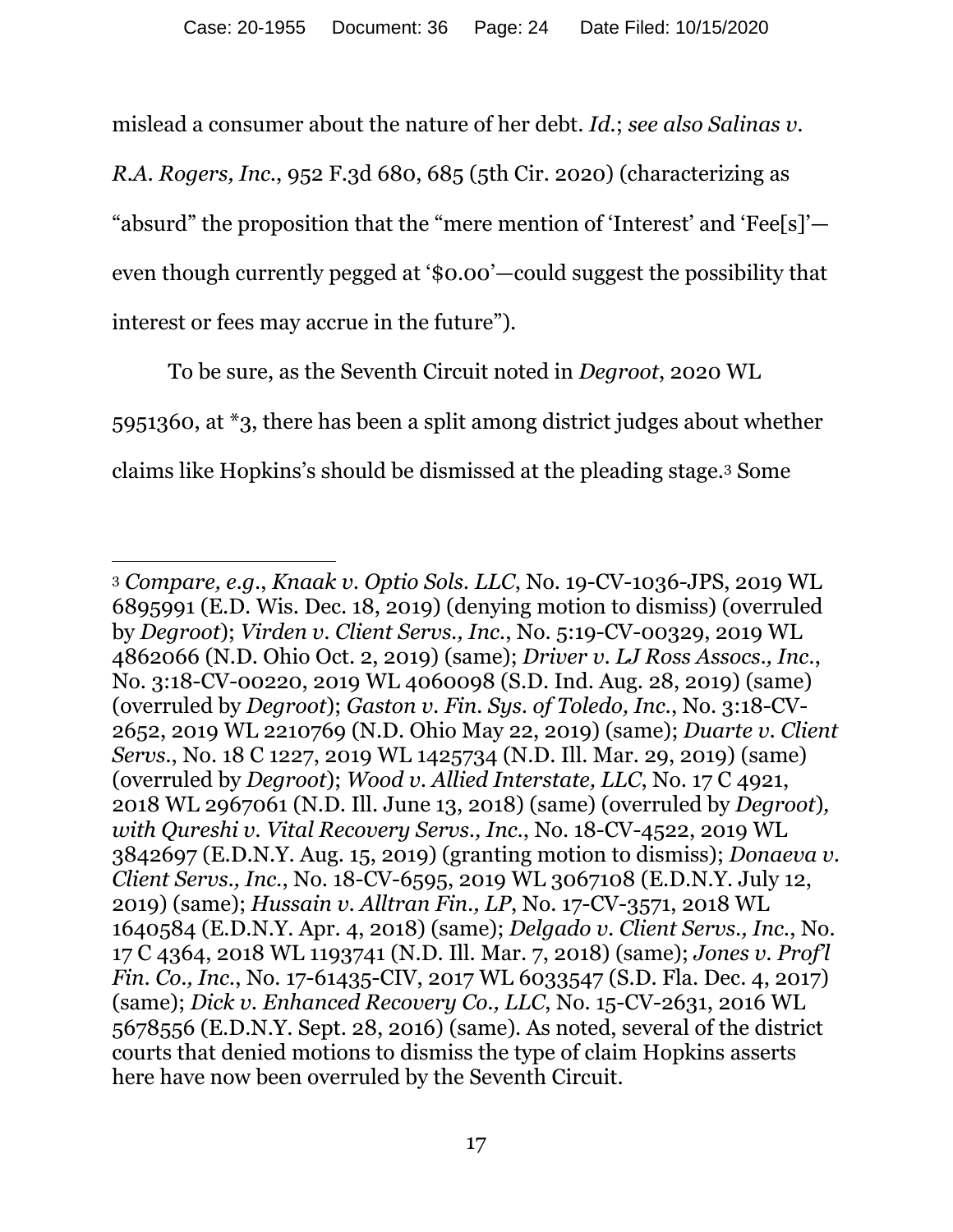mislead a consumer about the nature of her debt. *Id.*; *see also Salinas v.* 

*R.A. Rogers, Inc.*, 952 F.3d 680, 685 (5th Cir. 2020) (characterizing as "absurd" the proposition that the "mere mention of 'Interest' and 'Fee[s]' even though currently pegged at '\$0.00'—could suggest the possibility that interest or fees may accrue in the future").

To be sure, as the Seventh Circuit noted in *Degroot*, 2020 WL 5951360, at \*3, there has been a split among district judges about whether claims like Hopkins's should be dismissed at the pleading stage.3 Some

 $\overline{a}$ 

<sup>3</sup> *Compare, e.g.*, *Knaak v. Optio Sols. LLC*, No. 19-CV-1036-JPS, 2019 WL 6895991 (E.D. Wis. Dec. 18, 2019) (denying motion to dismiss) (overruled by *Degroot*); *Virden v. Client Servs., Inc.*, No. 5:19-CV-00329, 2019 WL 4862066 (N.D. Ohio Oct. 2, 2019) (same); *Driver v. LJ Ross Assocs., Inc.*, No. 3:18-CV-00220, 2019 WL 4060098 (S.D. Ind. Aug. 28, 2019) (same) (overruled by *Degroot*); *Gaston v. Fin. Sys. of Toledo, Inc.*, No. 3:18-CV-2652, 2019 WL 2210769 (N.D. Ohio May 22, 2019) (same); *Duarte v. Client Servs.*, No. 18 C 1227, 2019 WL 1425734 (N.D. Ill. Mar. 29, 2019) (same) (overruled by *Degroot*); *Wood v. Allied Interstate, LLC*, No. 17 C 4921, 2018 WL 2967061 (N.D. Ill. June 13, 2018) (same) (overruled by *Degroot*)*, with Qureshi v. Vital Recovery Servs., Inc.*, No. 18-CV-4522, 2019 WL 3842697 (E.D.N.Y. Aug. 15, 2019) (granting motion to dismiss); *Donaeva v. Client Servs., Inc.*, No. 18-CV-6595, 2019 WL 3067108 (E.D.N.Y. July 12, 2019) (same); *Hussain v. Alltran Fin., LP*, No. 17-CV-3571, 2018 WL 1640584 (E.D.N.Y. Apr. 4, 2018) (same); *Delgado v. Client Servs., Inc.*, No. 17 C 4364, 2018 WL 1193741 (N.D. Ill. Mar. 7, 2018) (same); *Jones v. Prof'l Fin. Co., Inc.*, No. 17-61435-CIV, 2017 WL 6033547 (S.D. Fla. Dec. 4, 2017) (same); *Dick v. Enhanced Recovery Co., LLC*, No. 15-CV-2631, 2016 WL 5678556 (E.D.N.Y. Sept. 28, 2016) (same). As noted, several of the district courts that denied motions to dismiss the type of claim Hopkins asserts here have now been overruled by the Seventh Circuit.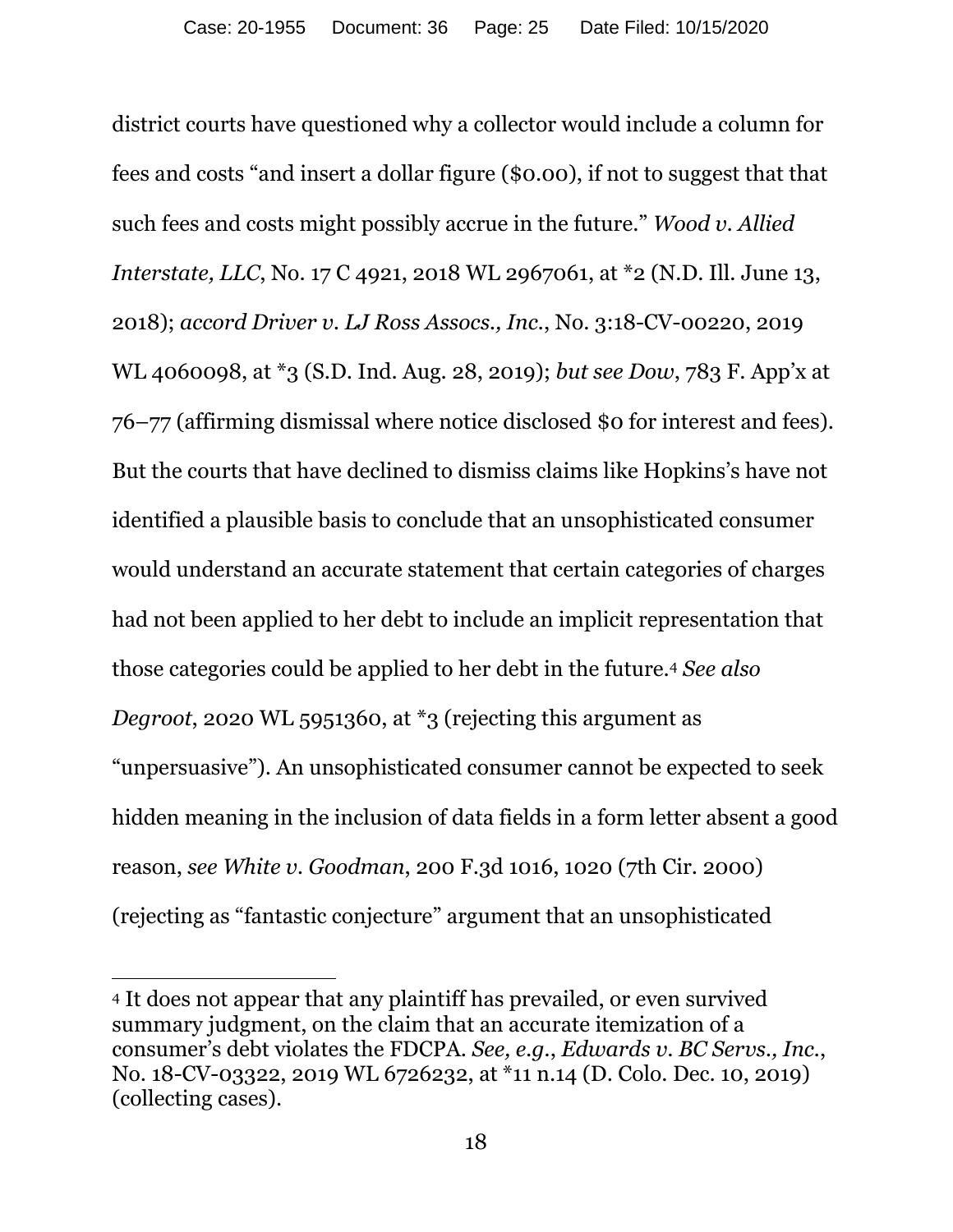district courts have questioned why a collector would include a column for fees and costs "and insert a dollar figure (\$0.00), if not to suggest that that such fees and costs might possibly accrue in the future." *Wood v. Allied Interstate, LLC*, No. 17 C 4921, 2018 WL 2967061, at \*2 (N.D. Ill. June 13, 2018); *accord Driver v. LJ Ross Assocs., Inc.*, No. 3:18-CV-00220, 2019 WL 4060098, at \*3 (S.D. Ind. Aug. 28, 2019); *but see Dow*, 783 F. App'x at 76–77 (affirming dismissal where notice disclosed \$0 for interest and fees). But the courts that have declined to dismiss claims like Hopkins's have not identified a plausible basis to conclude that an unsophisticated consumer would understand an accurate statement that certain categories of charges had not been applied to her debt to include an implicit representation that those categories could be applied to her debt in the future.4 *See also Degroot*, 2020 WL 5951360, at \*3 (rejecting this argument as "unpersuasive"). An unsophisticated consumer cannot be expected to seek hidden meaning in the inclusion of data fields in a form letter absent a good reason, *see White v. Goodman*, 200 F.3d 1016, 1020 (7th Cir. 2000) (rejecting as "fantastic conjecture" argument that an unsophisticated

 $\overline{a}$ 

<sup>4</sup> It does not appear that any plaintiff has prevailed, or even survived summary judgment, on the claim that an accurate itemization of a consumer's debt violates the FDCPA. *See, e.g.*, *Edwards v. BC Servs., Inc.*, No. 18-CV-03322, 2019 WL 6726232, at \*11 n.14 (D. Colo. Dec. 10, 2019) (collecting cases).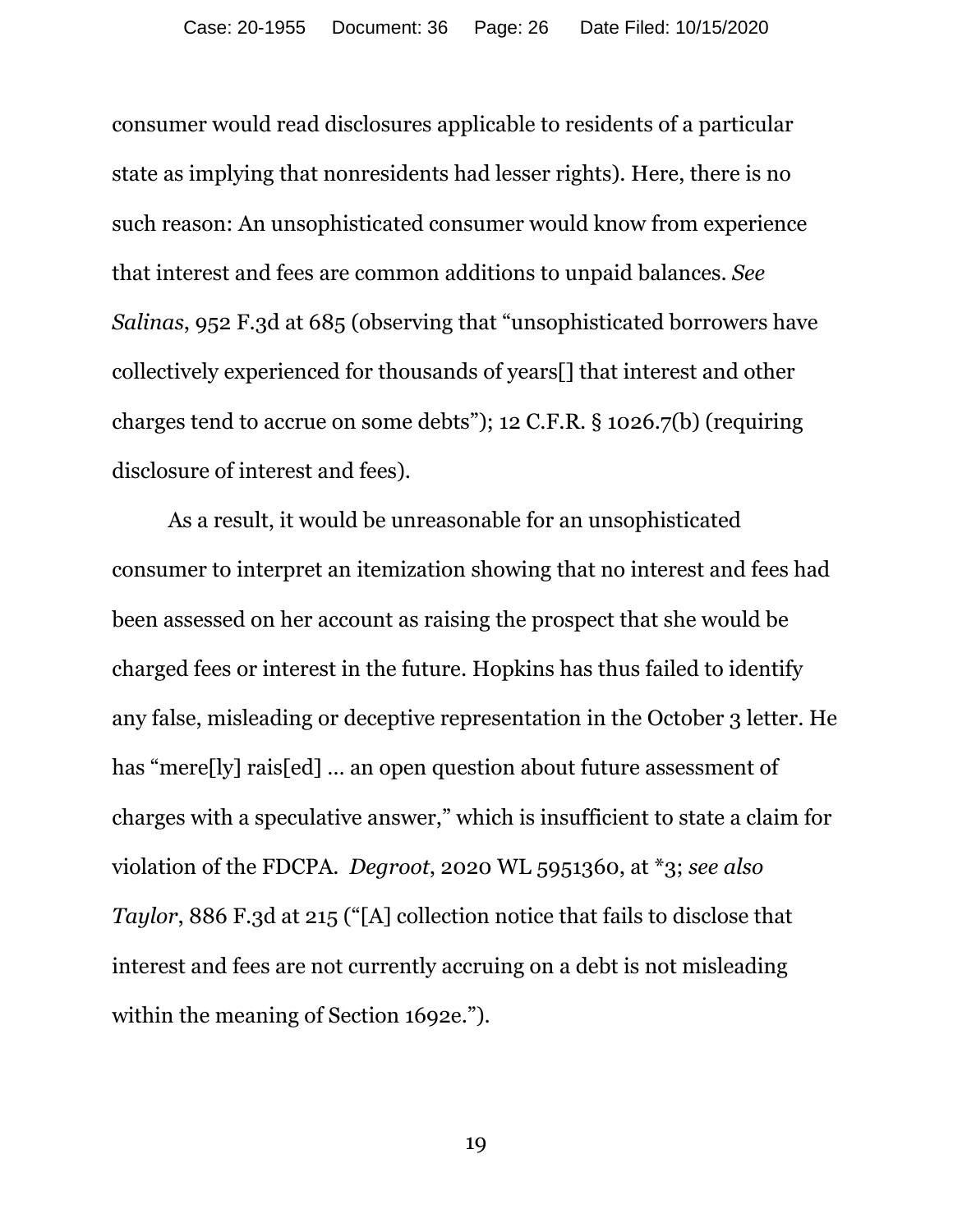consumer would read disclosures applicable to residents of a particular state as implying that nonresidents had lesser rights). Here, there is no such reason: An unsophisticated consumer would know from experience that interest and fees are common additions to unpaid balances. *See Salinas*, 952 F.3d at 685 (observing that "unsophisticated borrowers have collectively experienced for thousands of years[] that interest and other charges tend to accrue on some debts"); 12 C.F.R. § 1026.7(b) (requiring disclosure of interest and fees).

As a result, it would be unreasonable for an unsophisticated consumer to interpret an itemization showing that no interest and fees had been assessed on her account as raising the prospect that she would be charged fees or interest in the future. Hopkins has thus failed to identify any false, misleading or deceptive representation in the October 3 letter. He has "mere[ly] rais[ed] ... an open question about future assessment of charges with a speculative answer," which is insufficient to state a claim for violation of the FDCPA. *Degroot*, 2020 WL 5951360, at \*3; *see also Taylor*, 886 F.3d at 215 ("[A] collection notice that fails to disclose that interest and fees are not currently accruing on a debt is not misleading within the meaning of Section 1692e.").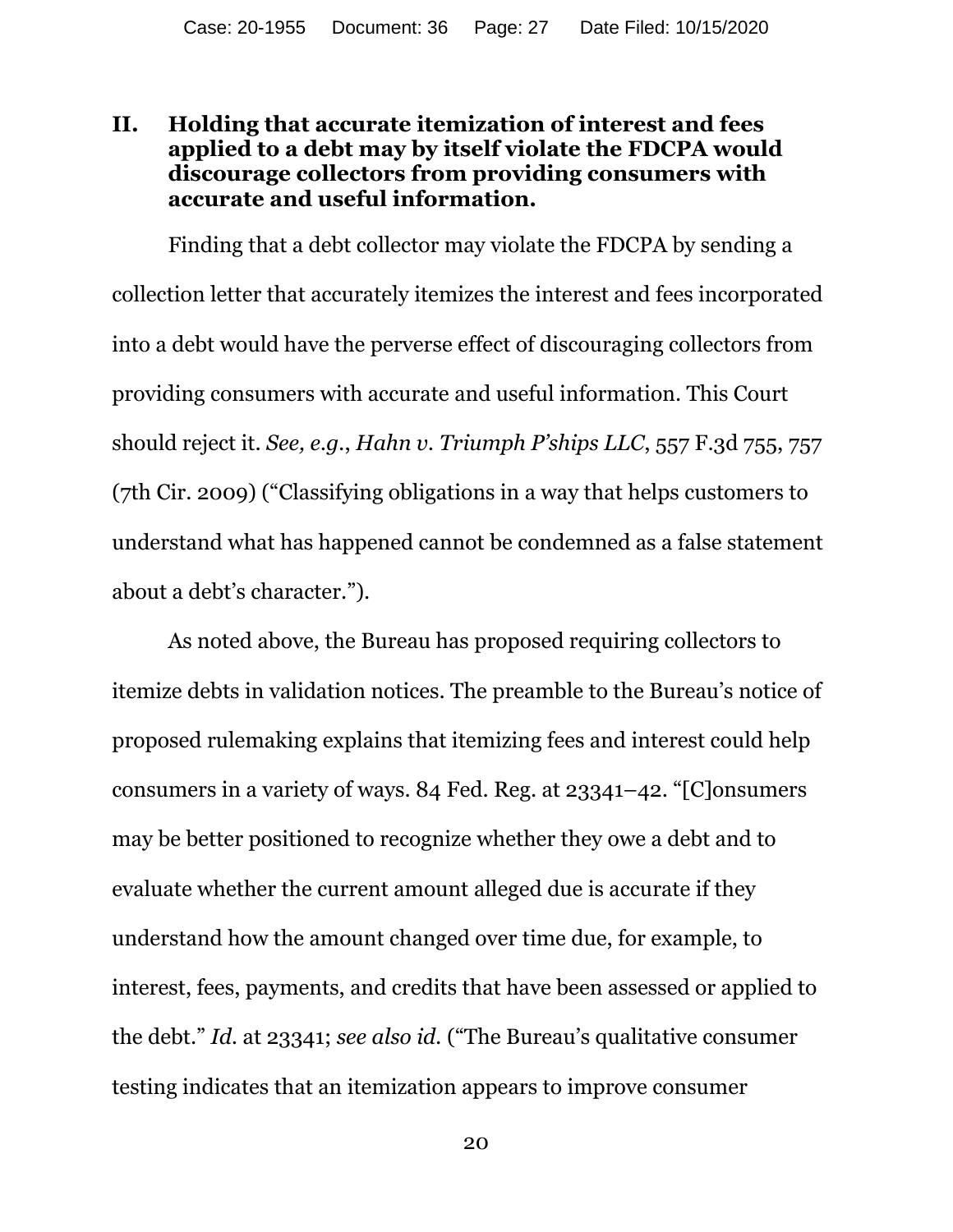### **II. Holding that accurate itemization of interest and fees applied to a debt may by itself violate the FDCPA would discourage collectors from providing consumers with accurate and useful information.**

Finding that a debt collector may violate the FDCPA by sending a collection letter that accurately itemizes the interest and fees incorporated into a debt would have the perverse effect of discouraging collectors from providing consumers with accurate and useful information. This Court should reject it. *See, e.g.*, *Hahn v. Triumph P'ships LLC*, 557 F.3d 755, 757 (7th Cir. 2009) ("Classifying obligations in a way that helps customers to understand what has happened cannot be condemned as a false statement about a debt's character.").

As noted above, the Bureau has proposed requiring collectors to itemize debts in validation notices. The preamble to the Bureau's notice of proposed rulemaking explains that itemizing fees and interest could help consumers in a variety of ways. 84 Fed. Reg. at 23341–42. "[C]onsumers may be better positioned to recognize whether they owe a debt and to evaluate whether the current amount alleged due is accurate if they understand how the amount changed over time due, for example, to interest, fees, payments, and credits that have been assessed or applied to the debt." *Id.* at 23341; *see also id.* ("The Bureau's qualitative consumer testing indicates that an itemization appears to improve consumer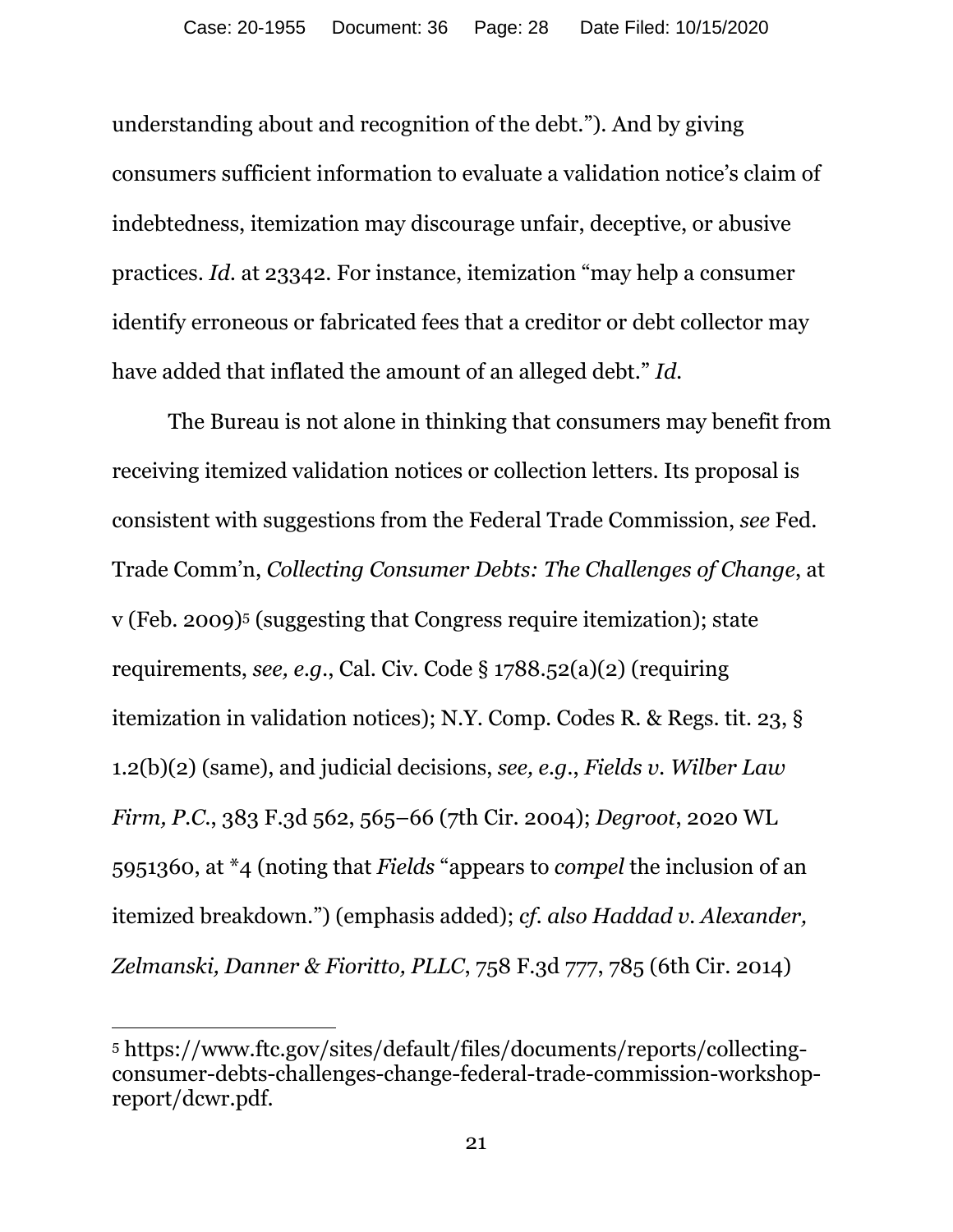understanding about and recognition of the debt."). And by giving consumers sufficient information to evaluate a validation notice's claim of indebtedness, itemization may discourage unfair, deceptive, or abusive practices. *Id.* at 23342. For instance, itemization "may help a consumer identify erroneous or fabricated fees that a creditor or debt collector may have added that inflated the amount of an alleged debt." *Id.* 

The Bureau is not alone in thinking that consumers may benefit from receiving itemized validation notices or collection letters. Its proposal is consistent with suggestions from the Federal Trade Commission, *see* Fed. Trade Comm'n, *Collecting Consumer Debts: The Challenges of Change*, at v (Feb. 2009)5 (suggesting that Congress require itemization); state requirements, *see, e.g.*, Cal. Civ. Code § 1788.52(a)(2) (requiring itemization in validation notices); N.Y. Comp. Codes R. & Regs. tit. 23, § 1.2(b)(2) (same), and judicial decisions, *see, e.g.*, *Fields v. Wilber Law Firm, P.C.*, 383 F.3d 562, 565–66 (7th Cir. 2004); *Degroot*, 2020 WL 5951360, at \*4 (noting that *Fields* "appears to *compel* the inclusion of an itemized breakdown.") (emphasis added); *cf. also Haddad v. Alexander, Zelmanski, Danner & Fioritto, PLLC*, 758 F.3d 777, 785 (6th Cir. 2014)

 $\overline{a}$ 

<sup>5</sup> https://www.ftc.gov/sites/default/files/documents/reports/collectingconsumer-debts-challenges-change-federal-trade-commission-workshopreport/dcwr.pdf.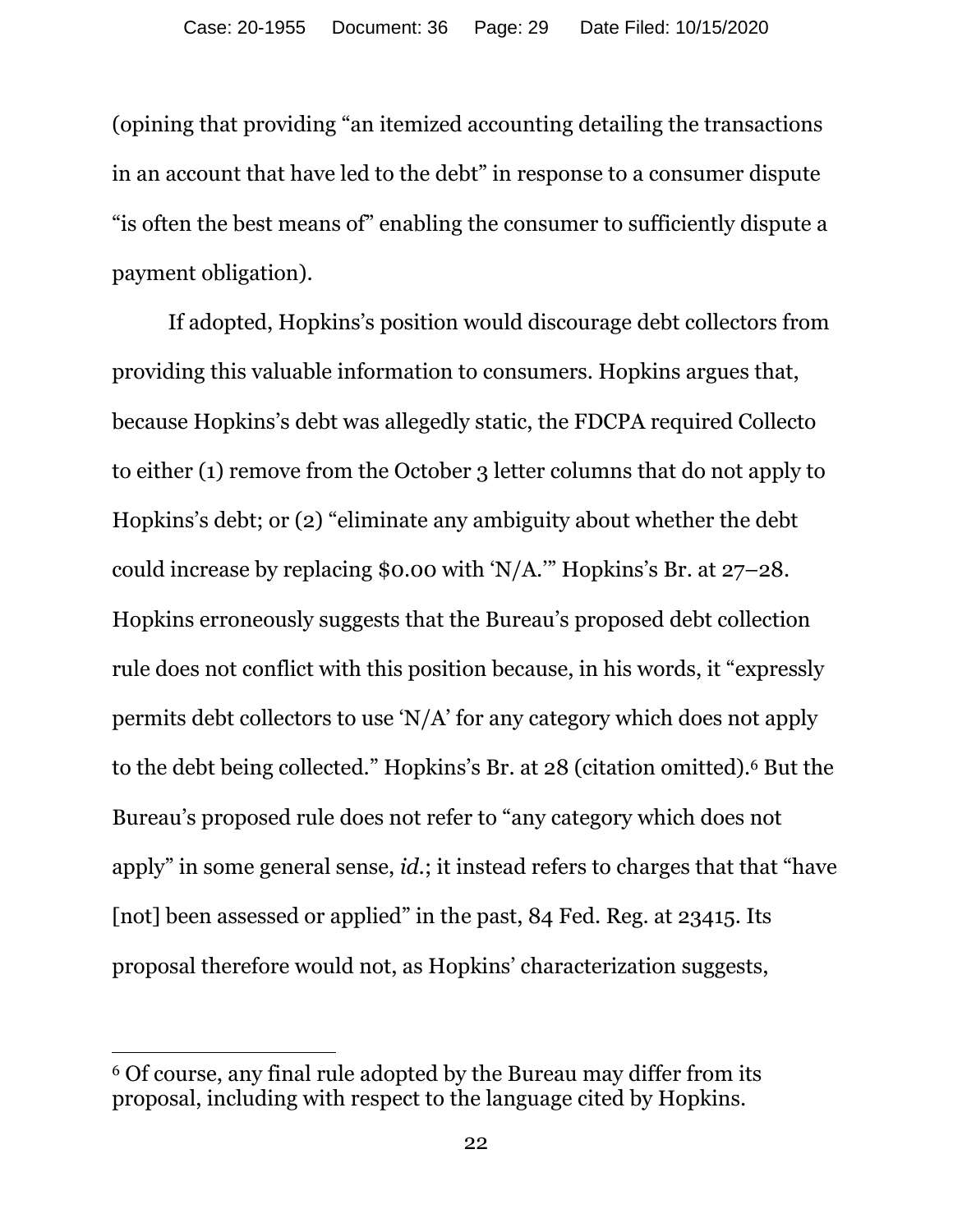(opining that providing "an itemized accounting detailing the transactions in an account that have led to the debt" in response to a consumer dispute "is often the best means of" enabling the consumer to sufficiently dispute a payment obligation).

If adopted, Hopkins's position would discourage debt collectors from providing this valuable information to consumers. Hopkins argues that, because Hopkins's debt was allegedly static, the FDCPA required Collecto to either (1) remove from the October 3 letter columns that do not apply to Hopkins's debt; or (2) "eliminate any ambiguity about whether the debt could increase by replacing \$0.00 with 'N/A.'" Hopkins's Br. at 27–28. Hopkins erroneously suggests that the Bureau's proposed debt collection rule does not conflict with this position because, in his words, it "expressly permits debt collectors to use 'N/A' for any category which does not apply to the debt being collected." Hopkins's Br. at 28 (citation omitted).6 But the Bureau's proposed rule does not refer to "any category which does not apply" in some general sense, *id.*; it instead refers to charges that that "have [not] been assessed or applied" in the past, 84 Fed. Reg. at 23415. Its proposal therefore would not, as Hopkins' characterization suggests,

 $\overline{a}$ 

<sup>6</sup> Of course, any final rule adopted by the Bureau may differ from its proposal, including with respect to the language cited by Hopkins.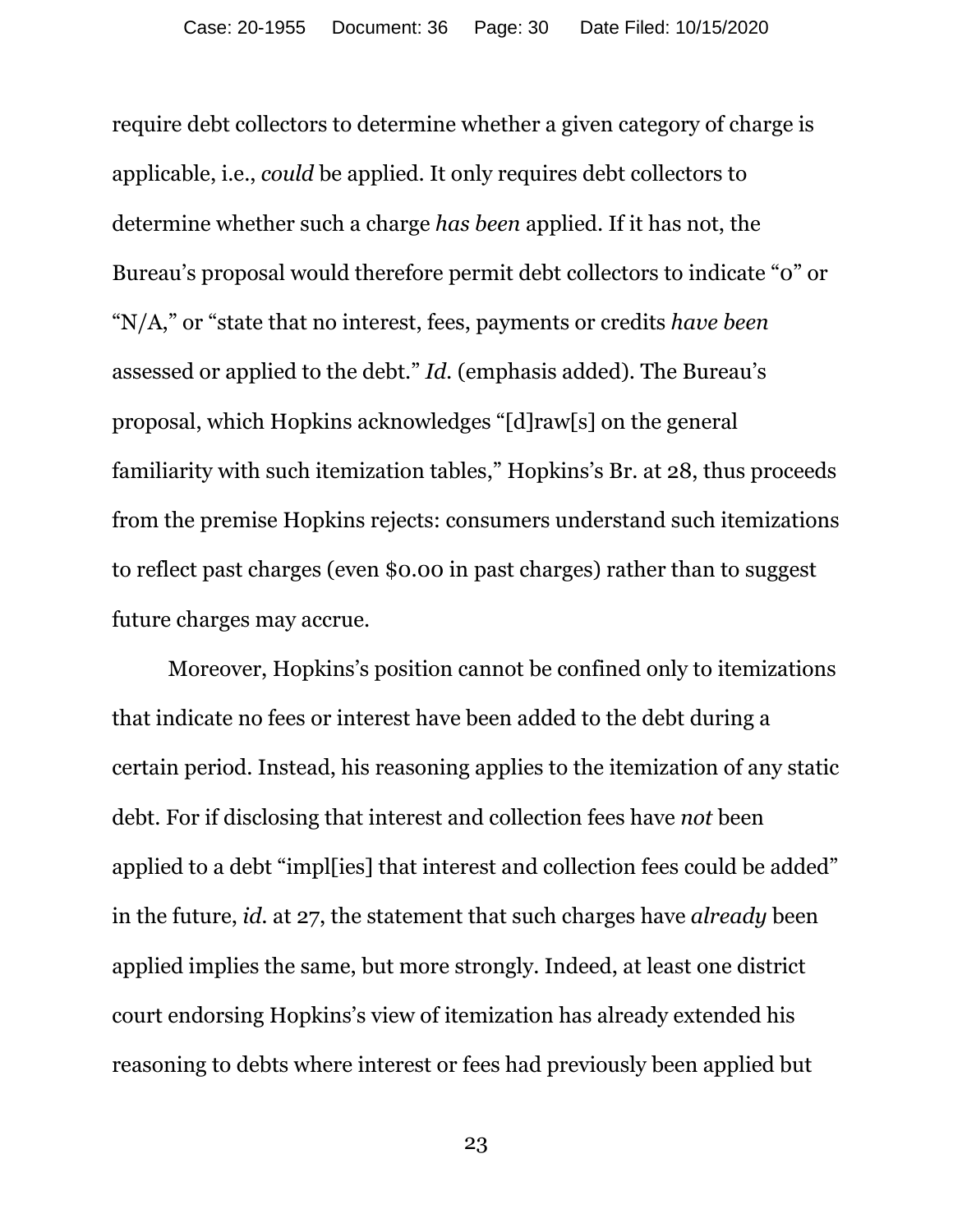require debt collectors to determine whether a given category of charge is applicable, i.e., *could* be applied. It only requires debt collectors to determine whether such a charge *has been* applied. If it has not, the Bureau's proposal would therefore permit debt collectors to indicate "0" or "N/A," or "state that no interest, fees, payments or credits *have been*  assessed or applied to the debt." *Id.* (emphasis added). The Bureau's proposal, which Hopkins acknowledges "[d]raw[s] on the general familiarity with such itemization tables," Hopkins's Br. at 28, thus proceeds from the premise Hopkins rejects: consumers understand such itemizations to reflect past charges (even \$0.00 in past charges) rather than to suggest future charges may accrue.

Moreover, Hopkins's position cannot be confined only to itemizations that indicate no fees or interest have been added to the debt during a certain period. Instead, his reasoning applies to the itemization of any static debt. For if disclosing that interest and collection fees have *not* been applied to a debt "impl[ies] that interest and collection fees could be added" in the future, *id.* at 27, the statement that such charges have *already* been applied implies the same, but more strongly. Indeed, at least one district court endorsing Hopkins's view of itemization has already extended his reasoning to debts where interest or fees had previously been applied but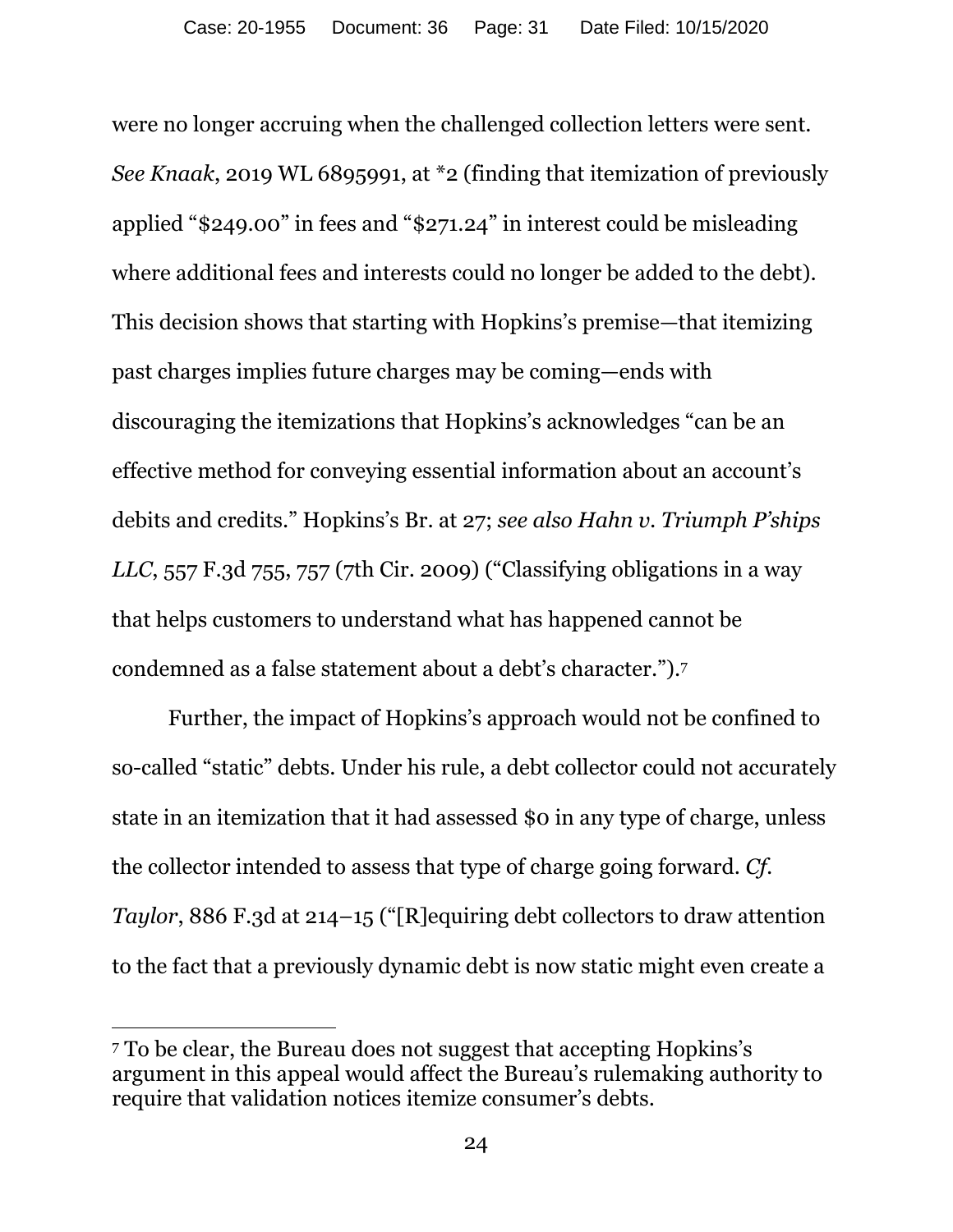were no longer accruing when the challenged collection letters were sent. *See Knaak*, 2019 WL 6895991, at \*2 (finding that itemization of previously applied "\$249.00" in fees and "\$271.24" in interest could be misleading where additional fees and interests could no longer be added to the debt). This decision shows that starting with Hopkins's premise—that itemizing past charges implies future charges may be coming—ends with discouraging the itemizations that Hopkins's acknowledges "can be an effective method for conveying essential information about an account's debits and credits." Hopkins's Br. at 27; *see also Hahn v. Triumph P'ships LLC*, 557 F.3d 755, 757 (7th Cir. 2009) ("Classifying obligations in a way that helps customers to understand what has happened cannot be condemned as a false statement about a debt's character.").7

Further, the impact of Hopkins's approach would not be confined to so-called "static" debts. Under his rule, a debt collector could not accurately state in an itemization that it had assessed \$0 in any type of charge, unless the collector intended to assess that type of charge going forward. *Cf. Taylor*, 886 F.3d at 214–15 ("[R]equiring debt collectors to draw attention to the fact that a previously dynamic debt is now static might even create a

 $\overline{a}$ 

<sup>7</sup> To be clear, the Bureau does not suggest that accepting Hopkins's argument in this appeal would affect the Bureau's rulemaking authority to require that validation notices itemize consumer's debts.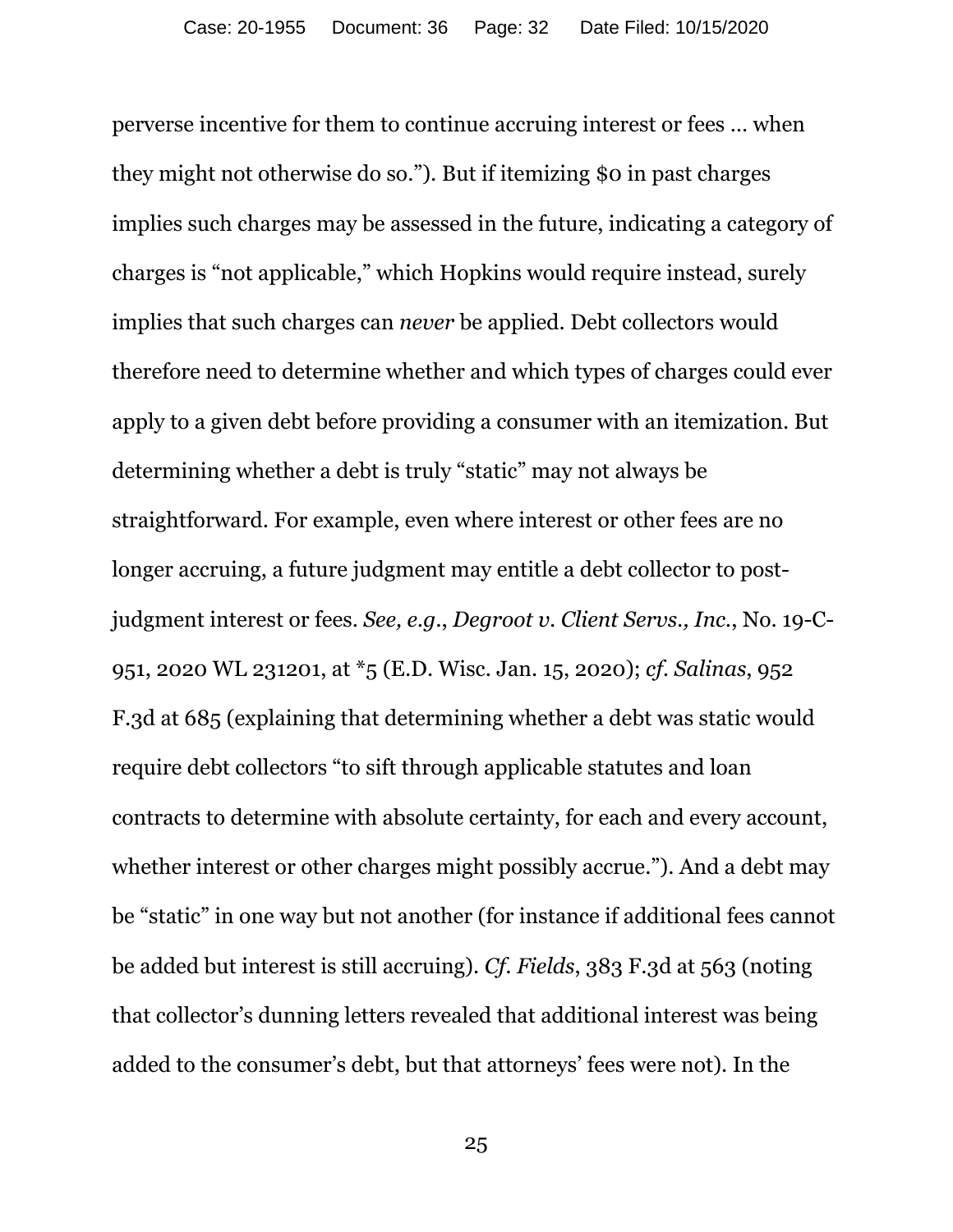perverse incentive for them to continue accruing interest or fees … when they might not otherwise do so."). But if itemizing \$0 in past charges implies such charges may be assessed in the future, indicating a category of charges is "not applicable," which Hopkins would require instead, surely implies that such charges can *never* be applied. Debt collectors would therefore need to determine whether and which types of charges could ever apply to a given debt before providing a consumer with an itemization. But determining whether a debt is truly "static" may not always be straightforward. For example, even where interest or other fees are no longer accruing, a future judgment may entitle a debt collector to postjudgment interest or fees. *See, e.g.*, *Degroot v. Client Servs., Inc.*, No. 19-C-951, 2020 WL 231201, at \*5 (E.D. Wisc. Jan. 15, 2020); *cf. Salinas*, 952 F.3d at 685 (explaining that determining whether a debt was static would require debt collectors "to sift through applicable statutes and loan contracts to determine with absolute certainty, for each and every account, whether interest or other charges might possibly accrue."). And a debt may be "static" in one way but not another (for instance if additional fees cannot be added but interest is still accruing). *Cf. Fields*, 383 F.3d at 563 (noting that collector's dunning letters revealed that additional interest was being added to the consumer's debt, but that attorneys' fees were not). In the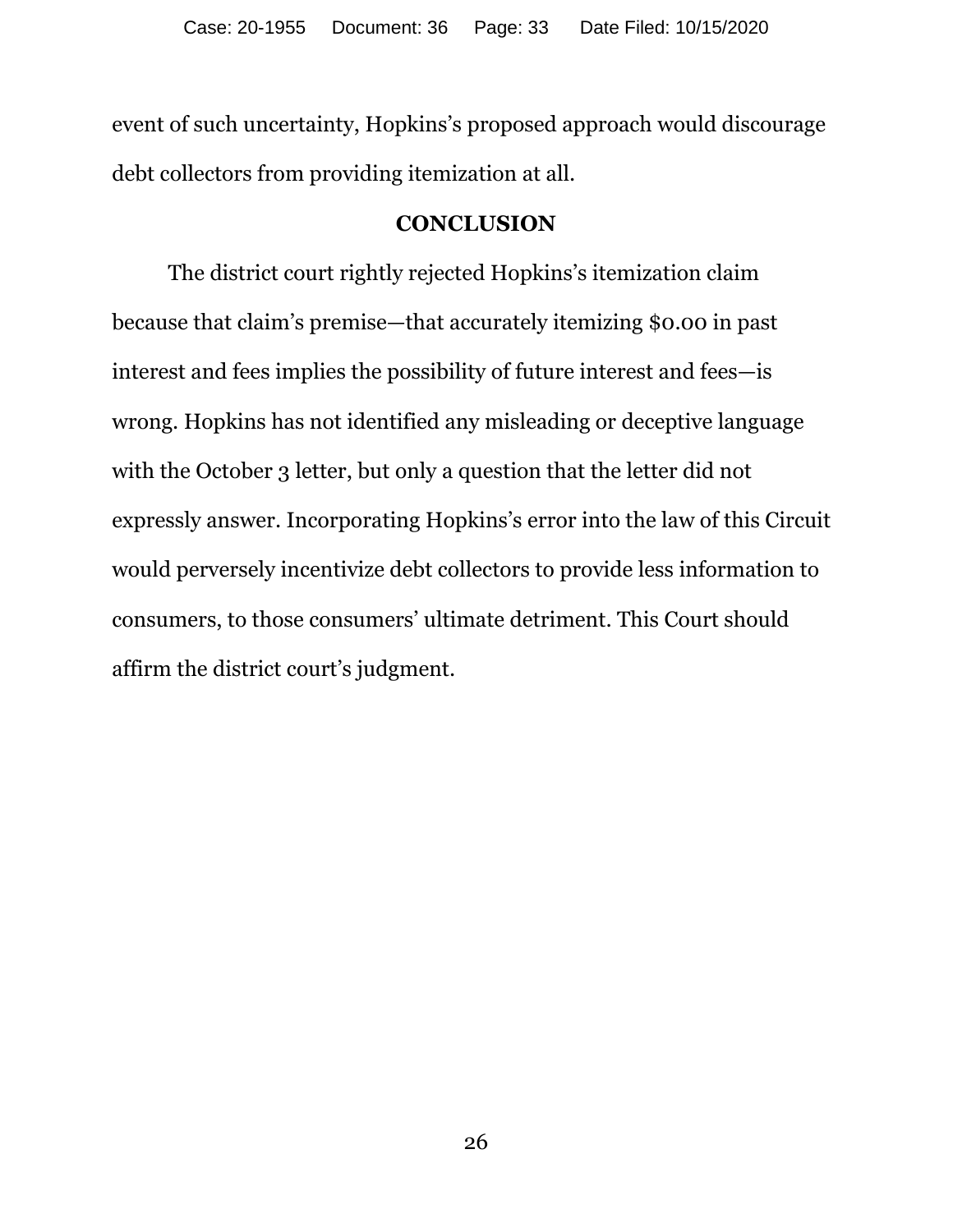event of such uncertainty, Hopkins's proposed approach would discourage debt collectors from providing itemization at all.

### **CONCLUSION**

The district court rightly rejected Hopkins's itemization claim because that claim's premise—that accurately itemizing \$0.00 in past interest and fees implies the possibility of future interest and fees—is wrong. Hopkins has not identified any misleading or deceptive language with the October 3 letter, but only a question that the letter did not expressly answer. Incorporating Hopkins's error into the law of this Circuit would perversely incentivize debt collectors to provide less information to consumers, to those consumers' ultimate detriment. This Court should affirm the district court's judgment.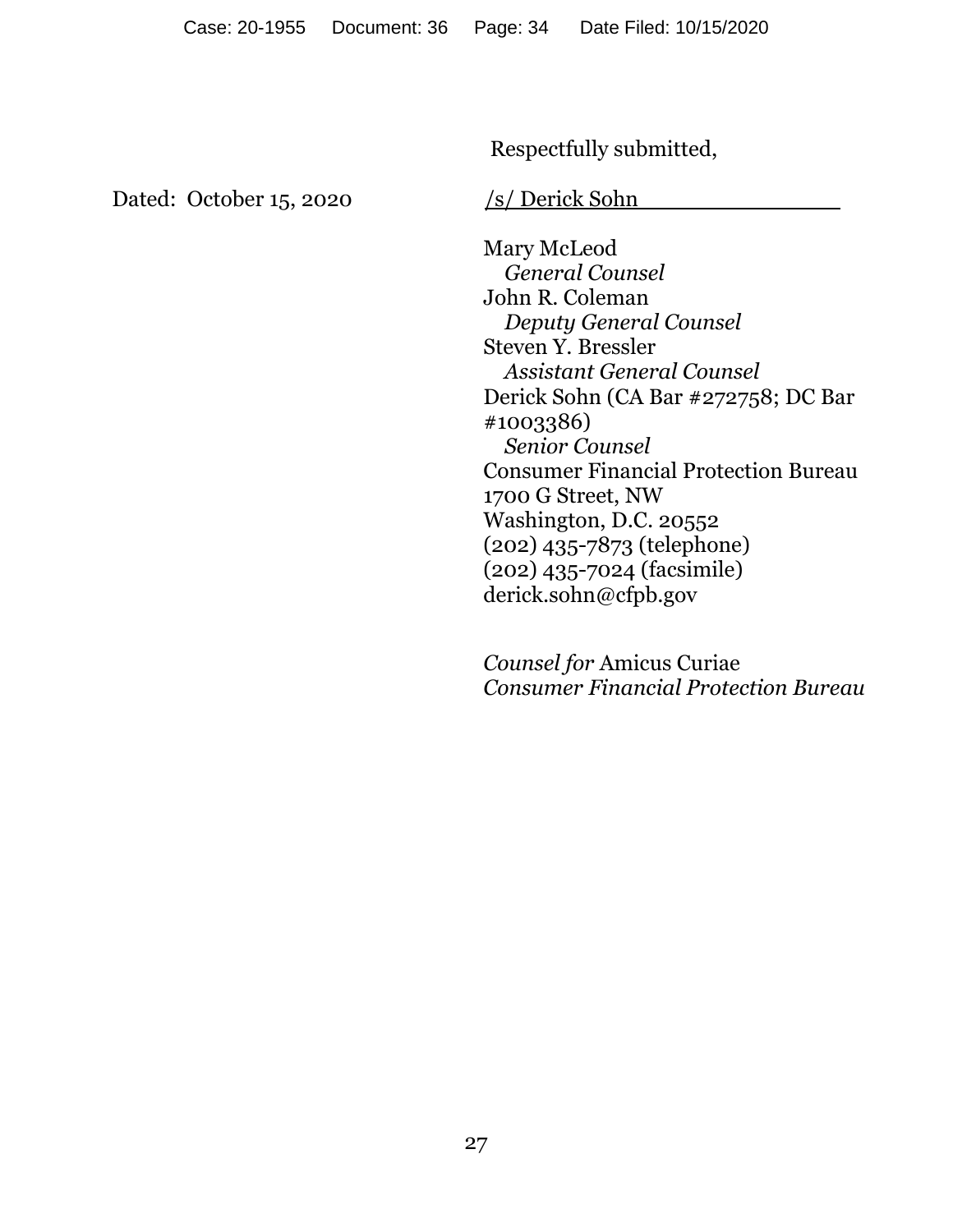Respectfully submitted,

Dated: October 15, 2020 /s/ Derick Sohn

 Mary McLeod *General Counsel*  John R. Coleman  *Deputy General Counsel*  Steven Y. Bressler *Assistant General Counsel*  Derick Sohn (CA Bar #272758; DC Bar #1003386) *Senior Counsel*  Consumer Financial Protection Bureau 1700 G Street, NW Washington, D.C. 20552 (202) 435-7873 (telephone) (202) 435-7024 (facsimile) derick.sohn@cfpb.gov

*Counsel for* Amicus Curiae *Consumer Financial Protection Bureau*